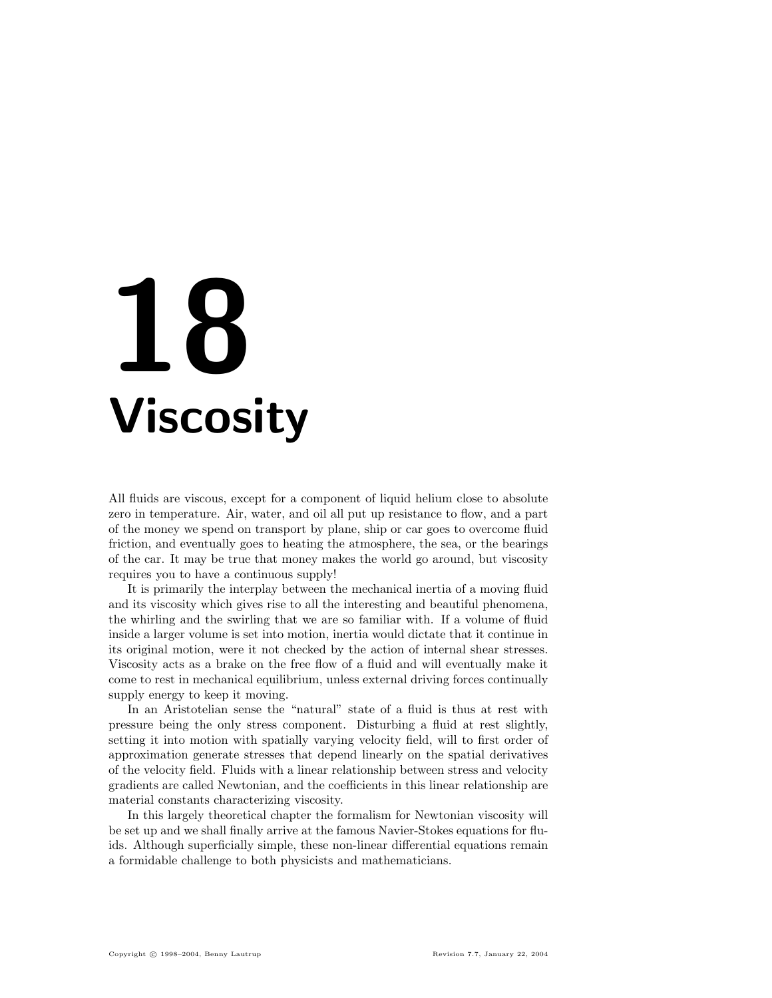# 18 Viscosity

All fluids are viscous, except for a component of liquid helium close to absolute zero in temperature. Air, water, and oil all put up resistance to flow, and a part of the money we spend on transport by plane, ship or car goes to overcome fluid friction, and eventually goes to heating the atmosphere, the sea, or the bearings of the car. It may be true that money makes the world go around, but viscosity requires you to have a continuous supply!

It is primarily the interplay between the mechanical inertia of a moving fluid and its viscosity which gives rise to all the interesting and beautiful phenomena, the whirling and the swirling that we are so familiar with. If a volume of fluid inside a larger volume is set into motion, inertia would dictate that it continue in its original motion, were it not checked by the action of internal shear stresses. Viscosity acts as a brake on the free flow of a fluid and will eventually make it come to rest in mechanical equilibrium, unless external driving forces continually supply energy to keep it moving.

In an Aristotelian sense the "natural" state of a fluid is thus at rest with pressure being the only stress component. Disturbing a fluid at rest slightly, setting it into motion with spatially varying velocity field, will to first order of approximation generate stresses that depend linearly on the spatial derivatives of the velocity field. Fluids with a linear relationship between stress and velocity gradients are called Newtonian, and the coefficients in this linear relationship are material constants characterizing viscosity.

In this largely theoretical chapter the formalism for Newtonian viscosity will be set up and we shall finally arrive at the famous Navier-Stokes equations for fluids. Although superficially simple, these non-linear differential equations remain a formidable challenge to both physicists and mathematicians.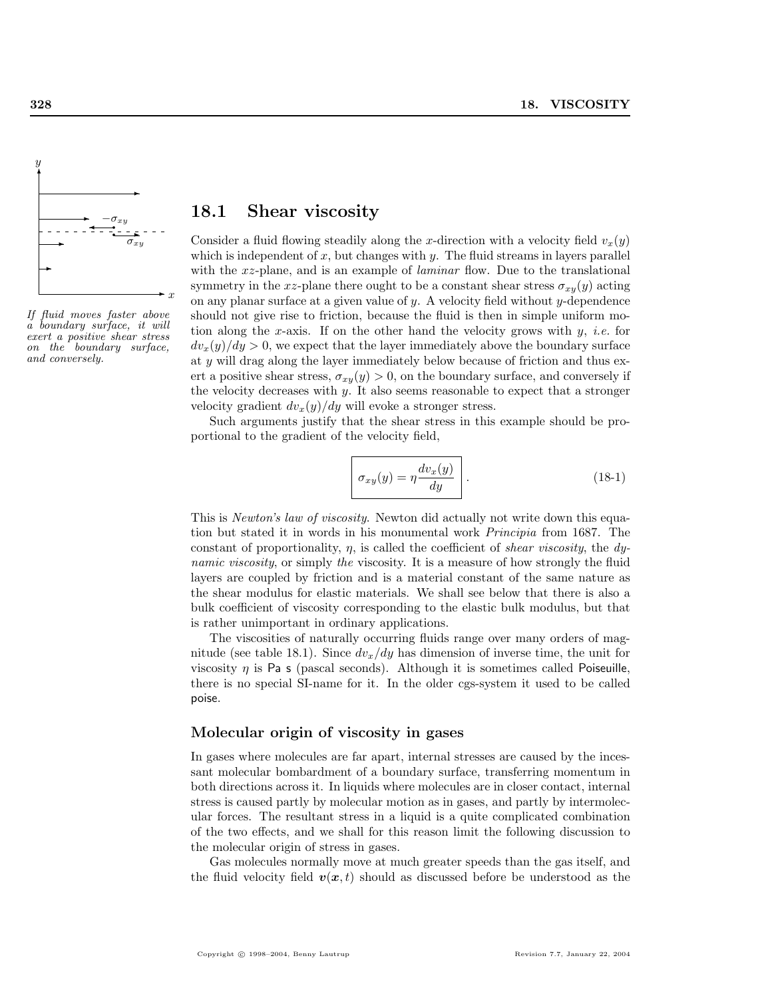

If fluid moves faster above a boundary surface, it will exert a positive shear stress on the boundary surface, and conversely.

# 18.1 Shear viscosity

Consider a fluid flowing steadily along the x-direction with a velocity field  $v_x(y)$ which is independent of  $x$ , but changes with  $y$ . The fluid streams in layers parallel with the xz-plane, and is an example of *laminar* flow. Due to the translational symmetry in the xz-plane there ought to be a constant shear stress  $\sigma_{xy}(y)$  acting on any planar surface at a given value of  $y$ . A velocity field without  $y$ -dependence should not give rise to friction, because the fluid is then in simple uniform motion along the x-axis. If on the other hand the velocity grows with  $y$ , *i.e.* for  $dv_x(y)/dy > 0$ , we expect that the layer immediately above the boundary surface at y will drag along the layer immediately below because of friction and thus exert a positive shear stress,  $\sigma_{xy}(y) > 0$ , on the boundary surface, and conversely if the velocity decreases with  $y$ . It also seems reasonable to expect that a stronger velocity gradient  $dv_x(y)/dy$  will evoke a stronger stress.

Such arguments justify that the shear stress in this example should be proportional to the gradient of the velocity field,

$$
\sigma_{xy}(y) = \eta \frac{dv_x(y)}{dy} \Bigg| \,. \tag{18-1}
$$

This is Newton's law of viscosity. Newton did actually not write down this equation but stated it in words in his monumental work Principia from 1687. The constant of proportionality,  $\eta$ , is called the coefficient of *shear viscosity*, the dynamic viscosity, or simply the viscosity. It is a measure of how strongly the fluid layers are coupled by friction and is a material constant of the same nature as the shear modulus for elastic materials. We shall see below that there is also a bulk coefficient of viscosity corresponding to the elastic bulk modulus, but that is rather unimportant in ordinary applications.

The viscosities of naturally occurring fluids range over many orders of magnitude (see table 18.1). Since  $dv_x/dy$  has dimension of inverse time, the unit for viscosity  $\eta$  is Pa s (pascal seconds). Although it is sometimes called Poiseuille, there is no special SI-name for it. In the older cgs-system it used to be called poise.

## Molecular origin of viscosity in gases

In gases where molecules are far apart, internal stresses are caused by the incessant molecular bombardment of a boundary surface, transferring momentum in both directions across it. In liquids where molecules are in closer contact, internal stress is caused partly by molecular motion as in gases, and partly by intermolecular forces. The resultant stress in a liquid is a quite complicated combination of the two effects, and we shall for this reason limit the following discussion to the molecular origin of stress in gases.

Gas molecules normally move at much greater speeds than the gas itself, and the fluid velocity field  $v(x, t)$  should as discussed before be understood as the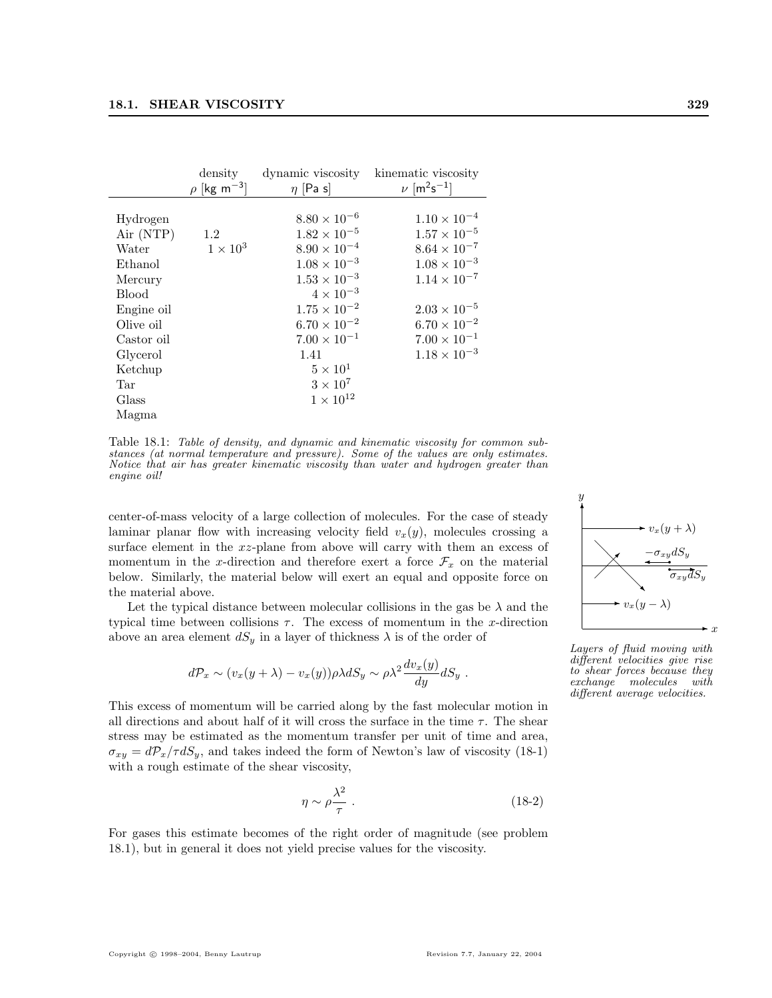|                       | density<br>$\rho$ [kg m <sup>-3</sup> ] | dynamic viscosity<br>$\eta$ [Pa s]             | kinematic viscosity<br>$\nu$ [m <sup>2</sup> s <sup>-1</sup> ] |
|-----------------------|-----------------------------------------|------------------------------------------------|----------------------------------------------------------------|
| Hydrogen<br>Air (NTP) | 1.2                                     | $8.80 \times 10^{-6}$<br>$1.82 \times 10^{-5}$ | $1.10 \times 10^{-4}$<br>$1.57 \times 10^{-5}$                 |
| Water<br>Ethanol      | $1 \times 10^3$                         | $8.90\times10^{-4}$<br>$1.08 \times 10^{-3}$   | $8.64 \times 10^{-7}$<br>$1.08 \times 10^{-3}$                 |
| Mercury               |                                         | $1.53 \times 10^{-3}$                          | $1.14 \times 10^{-7}$                                          |
| <b>Blood</b>          |                                         | $4 \times 10^{-3}$                             |                                                                |
| Engine oil            |                                         | $1.75 \times 10^{-2}$                          | $2.03 \times 10^{-5}$                                          |
| Olive oil             |                                         | $6.70 \times 10^{-2}$                          | $6.70 \times 10^{-2}$                                          |
| Castor oil            |                                         | $7.00 \times 10^{-1}$                          | $7.00 \times 10^{-1}$                                          |
| Glycerol              |                                         | 1.41                                           | $1.18 \times 10^{-3}$                                          |
| Ketchup               |                                         | $5\times10^1$                                  |                                                                |
| Tar                   |                                         | $3\times10^7$                                  |                                                                |
| Glass                 |                                         | $1 \times 10^{12}$                             |                                                                |
| Magma                 |                                         |                                                |                                                                |

Table 18.1: Table of density, and dynamic and kinematic viscosity for common substances (at normal temperature and pressure). Some of the values are only estimates. Notice that air has greater kinematic viscosity than water and hydrogen greater than engine oil!

center-of-mass velocity of a large collection of molecules. For the case of steady laminar planar flow with increasing velocity field  $v_x(y)$ , molecules crossing a surface element in the xz-plane from above will carry with them an excess of momentum in the x-direction and therefore exert a force  $\mathcal{F}_x$  on the material below. Similarly, the material below will exert an equal and opposite force on the material above.

Let the typical distance between molecular collisions in the gas be  $\lambda$  and the typical time between collisions  $\tau$ . The excess of momentum in the x-direction above an area element  $dS_y$  in a layer of thickness  $\lambda$  is of the order of

$$
d\mathcal{P}_x \sim (v_x(y+\lambda) - v_x(y))\rho \lambda dS_y \sim \rho \lambda^2 \frac{dv_x(y)}{dy} dS_y.
$$

This excess of momentum will be carried along by the fast molecular motion in all directions and about half of it will cross the surface in the time  $\tau$ . The shear stress may be estimated as the momentum transfer per unit of time and area,  $\sigma_{xy} = dP_x/\tau dS_y$ , and takes indeed the form of Newton's law of viscosity (18-1) with a rough estimate of the shear viscosity,

$$
\eta \sim \rho \frac{\lambda^2}{\tau} \ . \tag{18-2}
$$

For gases this estimate becomes of the right order of magnitude (see problem 18.1), but in general it does not yield precise values for the viscosity.



Layers of fluid moving with different velocities give rise to shear forces because they exchange molecules with different average velocities.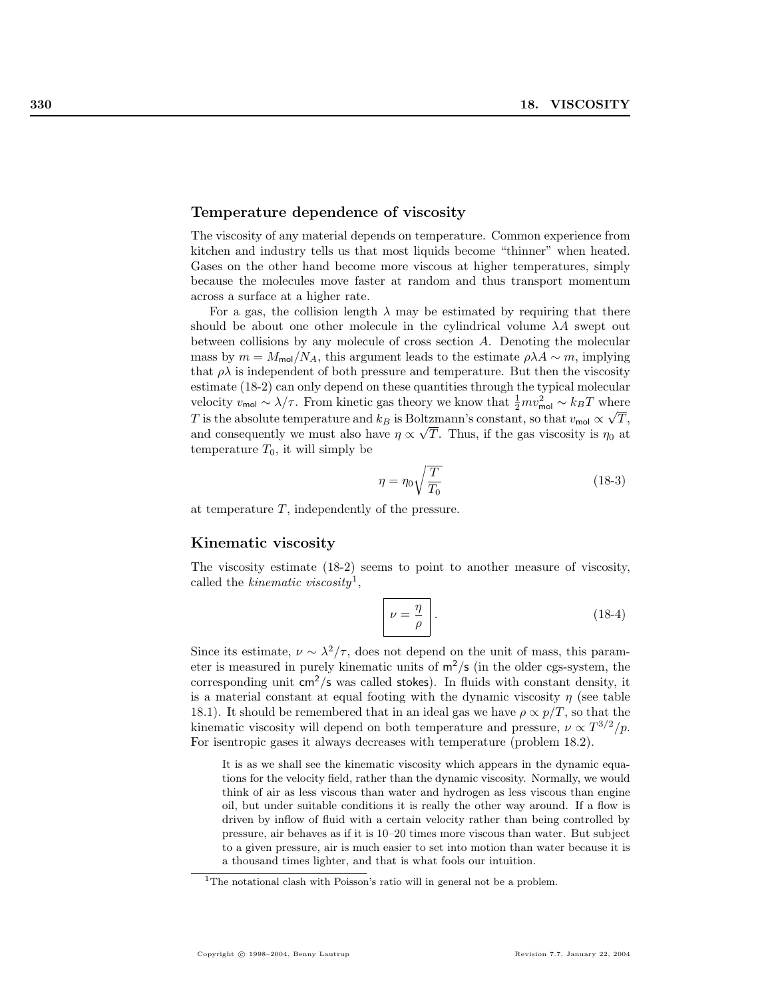#### Temperature dependence of viscosity

The viscosity of any material depends on temperature. Common experience from kitchen and industry tells us that most liquids become "thinner" when heated. Gases on the other hand become more viscous at higher temperatures, simply because the molecules move faster at random and thus transport momentum across a surface at a higher rate.

For a gas, the collision length  $\lambda$  may be estimated by requiring that there should be about one other molecule in the cylindrical volume  $\lambda A$  swept out between collisions by any molecule of cross section A. Denoting the molecular mass by  $m = M_{\text{mol}}/N_A$ , this argument leads to the estimate  $\rho \lambda A \sim m$ , implying that  $\rho\lambda$  is independent of both pressure and temperature. But then the viscosity estimate (18-2) can only depend on these quantities through the typical molecular velocity  $v_{\text{mol}} \sim \lambda/\tau$ . From kinetic gas theory we know that  $\frac{1}{2}mv_{\text{mol}}^2 \sim k_BT$  where T is the absolute temperature and  $k_B$  is Boltzmann's constant, so that  $v_{\text{mol}} \propto \sqrt{T}$ , and consequently we must also have  $\eta \propto \sqrt{T}$ . Thus, if the gas viscosity is  $\eta_0$  at temperature  $T_0$ , it will simply be

$$
\eta = \eta_0 \sqrt{\frac{T}{T_0}}\tag{18-3}
$$

at temperature T, independently of the pressure.

## Kinematic viscosity

The viscosity estimate (18-2) seems to point to another measure of viscosity, called the *kinematic viscosity*<sup>1</sup>,

$$
\nu = \frac{\eta}{\rho} \qquad (18-4)
$$

Since its estimate,  $\nu \sim \lambda^2/\tau$ , does not depend on the unit of mass, this parameter is measured in purely kinematic units of  $m^2/s$  (in the older cgs-system, the corresponding unit  $\text{cm}^2/\text{s}$  was called stokes). In fluids with constant density, it is a material constant at equal footing with the dynamic viscosity  $\eta$  (see table 18.1). It should be remembered that in an ideal gas we have  $\rho \propto p/T$ , so that the kinematic viscosity will depend on both temperature and pressure,  $\nu \propto T^{3/2}/p$ . For isentropic gases it always decreases with temperature (problem 18.2).

It is as we shall see the kinematic viscosity which appears in the dynamic equations for the velocity field, rather than the dynamic viscosity. Normally, we would think of air as less viscous than water and hydrogen as less viscous than engine oil, but under suitable conditions it is really the other way around. If a flow is driven by inflow of fluid with a certain velocity rather than being controlled by pressure, air behaves as if it is 10–20 times more viscous than water. But subject to a given pressure, air is much easier to set into motion than water because it is a thousand times lighter, and that is what fools our intuition.

<sup>&</sup>lt;sup>1</sup>The notational clash with Poisson's ratio will in general not be a problem.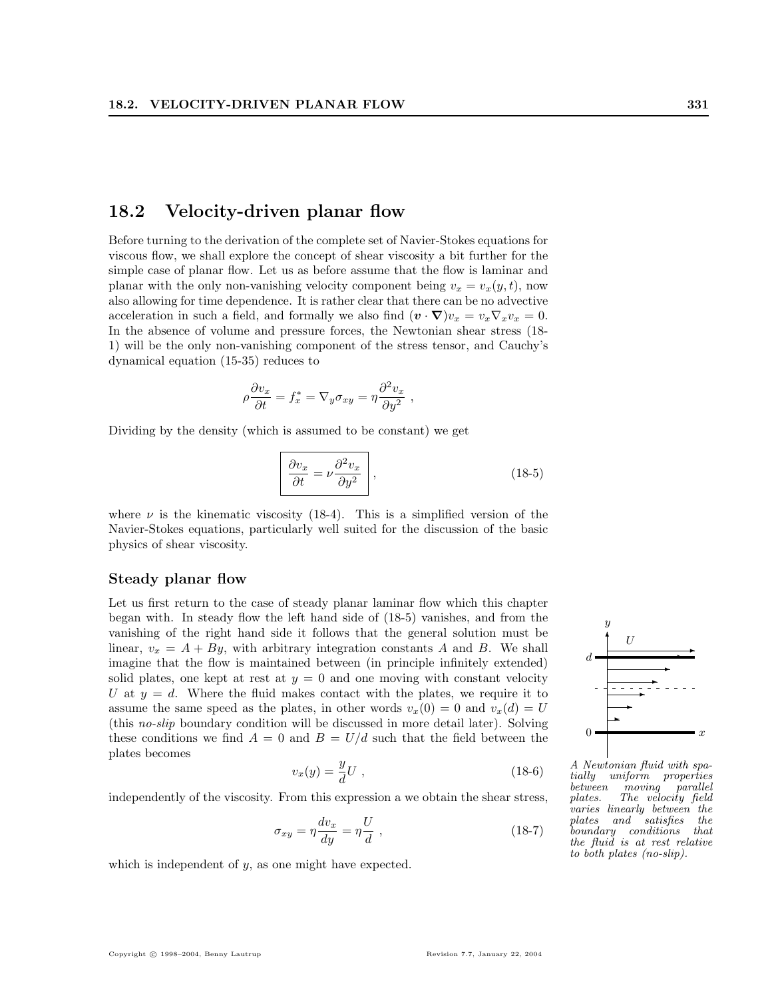## 18.2 Velocity-driven planar flow

Before turning to the derivation of the complete set of Navier-Stokes equations for viscous flow, we shall explore the concept of shear viscosity a bit further for the simple case of planar flow. Let us as before assume that the flow is laminar and planar with the only non-vanishing velocity component being  $v_x = v_x(y, t)$ , now also allowing for time dependence. It is rather clear that there can be no advective acceleration in such a field, and formally we also find  $(\mathbf{v} \cdot \nabla) v_x = v_x \nabla_x v_x = 0$ . In the absence of volume and pressure forces, the Newtonian shear stress (18- 1) will be the only non-vanishing component of the stress tensor, and Cauchy's dynamical equation (15-35) reduces to

$$
\rho \frac{\partial v_x}{\partial t} = f_x^* = \nabla_y \sigma_{xy} = \eta \frac{\partial^2 v_x}{\partial y^2} ,
$$

Dividing by the density (which is assumed to be constant) we get

$$
\frac{\partial v_x}{\partial t} = \nu \frac{\partial^2 v_x}{\partial y^2}, \qquad (18-5)
$$

where  $\nu$  is the kinematic viscosity (18-4). This is a simplified version of the Navier-Stokes equations, particularly well suited for the discussion of the basic physics of shear viscosity.

## Steady planar flow

Let us first return to the case of steady planar laminar flow which this chapter began with. In steady flow the left hand side of (18-5) vanishes, and from the vanishing of the right hand side it follows that the general solution must be linear,  $v_x = A + By$ , with arbitrary integration constants A and B. We shall imagine that the flow is maintained between (in principle infinitely extended) solid plates, one kept at rest at  $y = 0$  and one moving with constant velocity U at  $y = d$ . Where the fluid makes contact with the plates, we require it to assume the same speed as the plates, in other words  $v_x(0) = 0$  and  $v_x(d) = U$ (this no-slip boundary condition will be discussed in more detail later). Solving these conditions we find  $A = 0$  and  $B = U/d$  such that the field between the plates becomes

$$
v_x(y) = \frac{y}{d}U, \qquad (18-6)
$$

independently of the viscosity. From this expression a we obtain the shear stress,

$$
\sigma_{xy} = \eta \frac{dv_x}{dy} = \eta \frac{U}{d} \,, \tag{18-7}
$$

which is independent of y, as one might have expected.



A Newtonian fluid with spatially uniform properties<br>between moving parallel moving plates. The velocity field varies linearly between the<br>plates and satisfies the and satisfies the boundary conditions that the fluid is at rest relative to both plates (no-slip).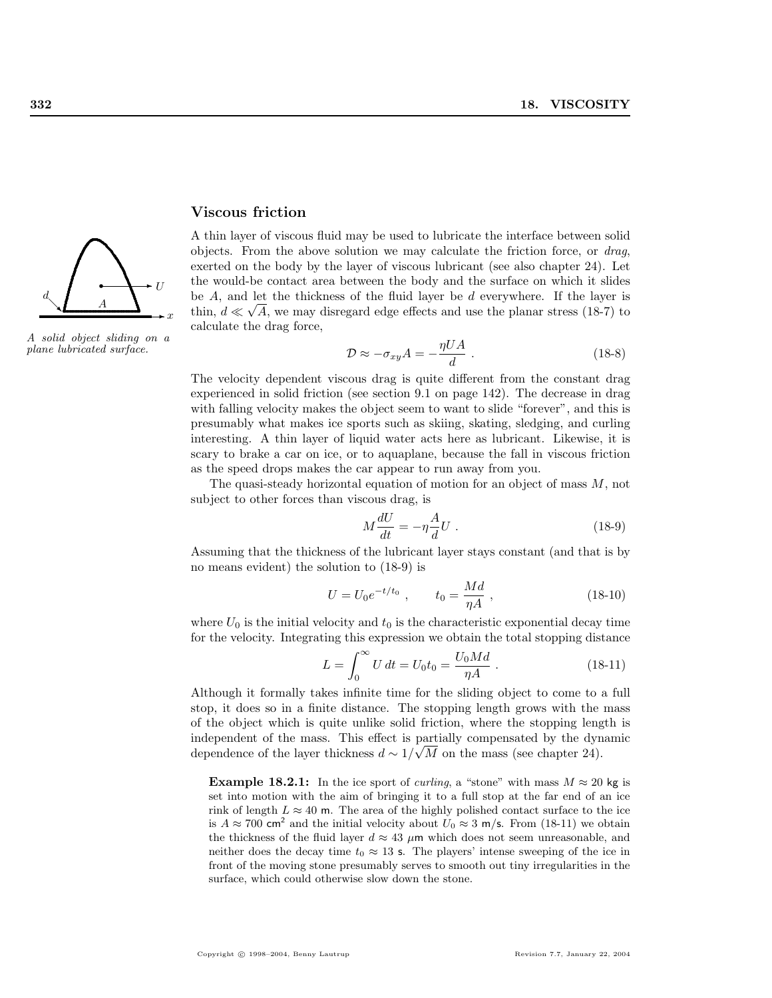

A solid object sliding on a  $plane$  lubricated surface.

## Viscous friction

A thin layer of viscous fluid may be used to lubricate the interface between solid objects. From the above solution we may calculate the friction force, or drag, exerted on the body by the layer of viscous lubricant (see also chapter 24). Let the would-be contact area between the body and the surface on which it slides be A, and let the thickness of the fluid layer be d everywhere. If the layer is thin,  $d \ll \sqrt{A}$ , we may disregard edge effects and use the planar stress (18-7) to calculate the drag force,

$$
\mathcal{D} \approx -\sigma_{xy} A = -\frac{\eta U A}{d} \ . \tag{18-8}
$$

The velocity dependent viscous drag is quite different from the constant drag experienced in solid friction (see section 9.1 on page 142). The decrease in drag with falling velocity makes the object seem to want to slide "forever", and this is presumably what makes ice sports such as skiing, skating, sledging, and curling interesting. A thin layer of liquid water acts here as lubricant. Likewise, it is scary to brake a car on ice, or to aquaplane, because the fall in viscous friction as the speed drops makes the car appear to run away from you.

The quasi-steady horizontal equation of motion for an object of mass  $M$ , not subject to other forces than viscous drag, is

$$
M\frac{dU}{dt} = -\eta \frac{A}{d}U\ .
$$
 (18-9)

Assuming that the thickness of the lubricant layer stays constant (and that is by no means evident) the solution to (18-9) is

$$
U = U_0 e^{-t/t_0} , \t t_0 = \frac{Md}{\eta A} , \t (18-10)
$$

where  $U_0$  is the initial velocity and  $t_0$  is the characteristic exponential decay time for the velocity. Integrating this expression we obtain the total stopping distance

$$
L = \int_0^\infty U \, dt = U_0 t_0 = \frac{U_0 M d}{\eta A} \,. \tag{18-11}
$$

Although it formally takes infinite time for the sliding object to come to a full stop, it does so in a finite distance. The stopping length grows with the mass of the object which is quite unlike solid friction, where the stopping length is independent of the mass. This effect is partially compensated by the dynamic dependence of the layer thickness  $d \sim 1/\sqrt{M}$  on the mass (see chapter 24).

**Example 18.2.1:** In the ice sport of *curling*, a "stone" with mass  $M \approx 20$  kg is set into motion with the aim of bringing it to a full stop at the far end of an ice rink of length  $L \approx 40$  m. The area of the highly polished contact surface to the ice is  $A \approx 700$  cm<sup>2</sup> and the initial velocity about  $U_0 \approx 3$  m/s. From (18-11) we obtain the thickness of the fluid layer  $d \approx 43 \mu$ m which does not seem unreasonable, and neither does the decay time  $t_0 \approx 13$  s. The players' intense sweeping of the ice in front of the moving stone presumably serves to smooth out tiny irregularities in the surface, which could otherwise slow down the stone.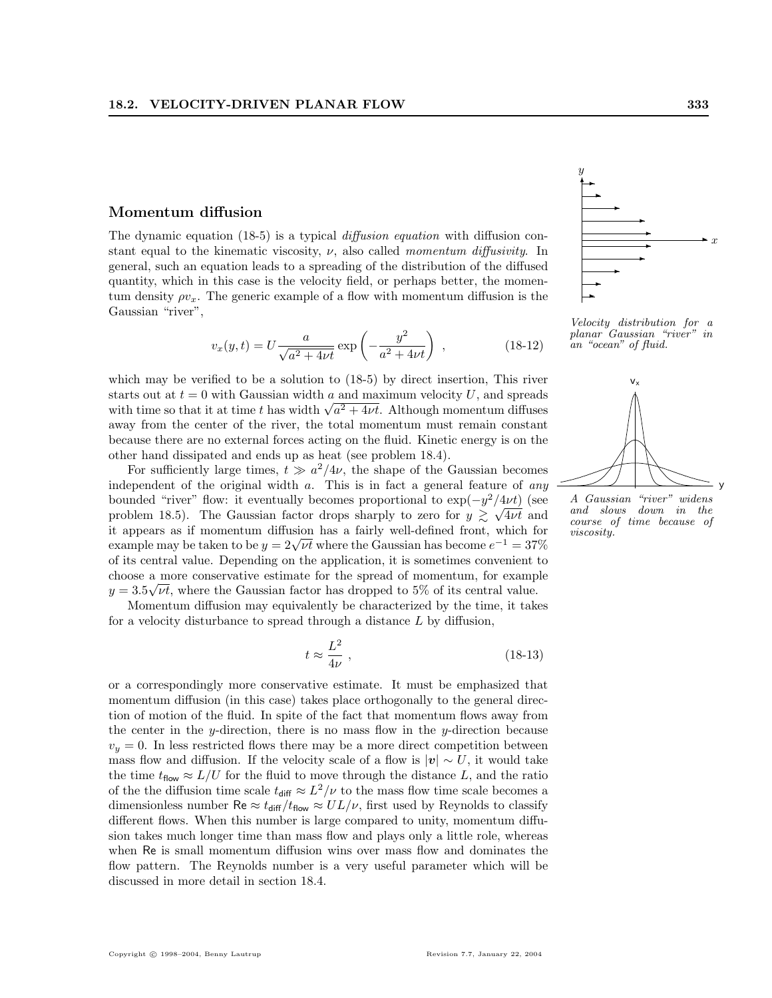#### Momentum diffusion

The dynamic equation (18-5) is a typical *diffusion equation* with diffusion constant equal to the kinematic viscosity,  $\nu$ , also called momentum diffusivity. In general, such an equation leads to a spreading of the distribution of the diffused quantity, which in this case is the velocity field, or perhaps better, the momentum density  $\rho v_x$ . The generic example of a flow with momentum diffusion is the Gaussian "river",

$$
v_x(y,t) = U \frac{a}{\sqrt{a^2 + 4\nu t}} \exp\left(-\frac{y^2}{a^2 + 4\nu t}\right) , \qquad (18-12)
$$

which may be verified to be a solution to  $(18-5)$  by direct insertion, This river starts out at  $t = 0$  with Gaussian width a and maximum velocity U, and spreads starts out at  $t = 0$  with Gaussian width a and maximum velocity  $\hat{U}$ , and spreads with time so that it at time t has width  $\sqrt{a^2 + 4\nu t}$ . Although momentum diffuses away from the center of the river, the total momentum must remain constant because there are no external forces acting on the fluid. Kinetic energy is on the other hand dissipated and ends up as heat (see problem 18.4).

For sufficiently large times,  $t \gg a^2/4\nu$ , the shape of the Gaussian becomes independent of the original width  $a$ . This is in fact a general feature of  $any$ bounded "river" flow: it eventually becomes proportional to  $\exp(-y^2/4\nu t)$  (see problem 18.5). The Gaussian factor drops sharply to zero for  $y \geq \sqrt{4\nu t}$  and it appears as if momentum diffusion has a fairly well-defined front, which for it appears as if momentum diffusion has a fairly well-defined front, which for example may be taken to be  $y = 2\sqrt{\nu t}$  where the Gaussian has become  $e^{-1} = 37\%$ of its central value. Depending on the application, it is sometimes convenient to choose a more conservative estimate for the spread of momentum, for example  $y = 3.5\sqrt{\nu t}$ , where the Gaussian factor has dropped to 5% of its central value.

Momentum diffusion may equivalently be characterized by the time, it takes for a velocity disturbance to spread through a distance  $L$  by diffusion,

$$
t \approx \frac{L^2}{4\nu} \tag{18-13}
$$

or a correspondingly more conservative estimate. It must be emphasized that momentum diffusion (in this case) takes place orthogonally to the general direction of motion of the fluid. In spite of the fact that momentum flows away from the center in the y-direction, there is no mass flow in the y-direction because  $v_y = 0$ . In less restricted flows there may be a more direct competition between mass flow and diffusion. If the velocity scale of a flow is  $|v| \sim U$ , it would take the time  $t_{flow} \approx L/U$  for the fluid to move through the distance L, and the ratio of the the diffusion time scale  $t_{\text{diff}} \approx L^2/\nu$  to the mass flow time scale becomes a dimensionless number Re  $\approx t_{\text{diff}}/t_{\text{flow}} \approx UL/\nu$ , first used by Reynolds to classify different flows. When this number is large compared to unity, momentum diffusion takes much longer time than mass flow and plays only a little role, whereas when Re is small momentum diffusion wins over mass flow and dominates the flow pattern. The Reynolds number is a very useful parameter which will be discussed in more detail in section 18.4.



Velocity distribution for a planar Gaussian "river" in  $an$  "ocean" of fluid.



A Gaussian "river" widens and slows down in the course of time because of viscosity.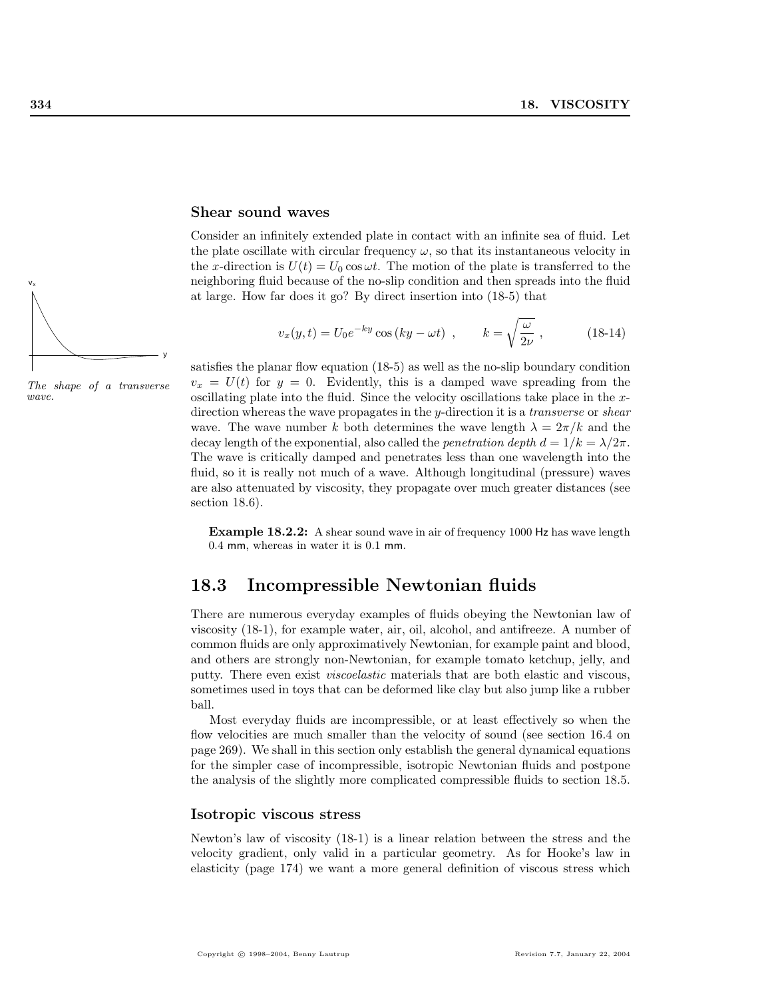

The shape of a transverse wave.

#### Shear sound waves

Consider an infinitely extended plate in contact with an infinite sea of fluid. Let the plate oscillate with circular frequency  $\omega$ , so that its instantaneous velocity in the x-direction is  $U(t) = U_0 \cos \omega t$ . The motion of the plate is transferred to the neighboring fluid because of the no-slip condition and then spreads into the fluid at large. How far does it go? By direct insertion into (18-5) that

$$
v_x(y,t) = U_0 e^{-ky} \cos(ky - \omega t) , \qquad k = \sqrt{\frac{\omega}{2\nu}} , \qquad (18-14)
$$

satisfies the planar flow equation (18-5) as well as the no-slip boundary condition  $v_x = U(t)$  for  $y = 0$ . Evidently, this is a damped wave spreading from the oscillating plate into the fluid. Since the velocity oscillations take place in the xdirection whereas the wave propagates in the y-direction it is a transverse or shear wave. The wave number k both determines the wave length  $\lambda = 2\pi/k$  and the decay length of the exponential, also called the *penetration depth*  $d = 1/k = \lambda/2\pi$ . The wave is critically damped and penetrates less than one wavelength into the fluid, so it is really not much of a wave. Although longitudinal (pressure) waves are also attenuated by viscosity, they propagate over much greater distances (see section 18.6).

Example 18.2.2: A shear sound wave in air of frequency 1000 Hz has wave length 0.4 mm, whereas in water it is 0.1 mm.

# 18.3 Incompressible Newtonian fluids

There are numerous everyday examples of fluids obeying the Newtonian law of viscosity (18-1), for example water, air, oil, alcohol, and antifreeze. A number of common fluids are only approximatively Newtonian, for example paint and blood, and others are strongly non-Newtonian, for example tomato ketchup, jelly, and putty. There even exist viscoelastic materials that are both elastic and viscous, sometimes used in toys that can be deformed like clay but also jump like a rubber ball.

Most everyday fluids are incompressible, or at least effectively so when the flow velocities are much smaller than the velocity of sound (see section 16.4 on page 269). We shall in this section only establish the general dynamical equations for the simpler case of incompressible, isotropic Newtonian fluids and postpone the analysis of the slightly more complicated compressible fluids to section 18.5.

#### Isotropic viscous stress

Newton's law of viscosity (18-1) is a linear relation between the stress and the velocity gradient, only valid in a particular geometry. As for Hooke's law in elasticity (page 174) we want a more general definition of viscous stress which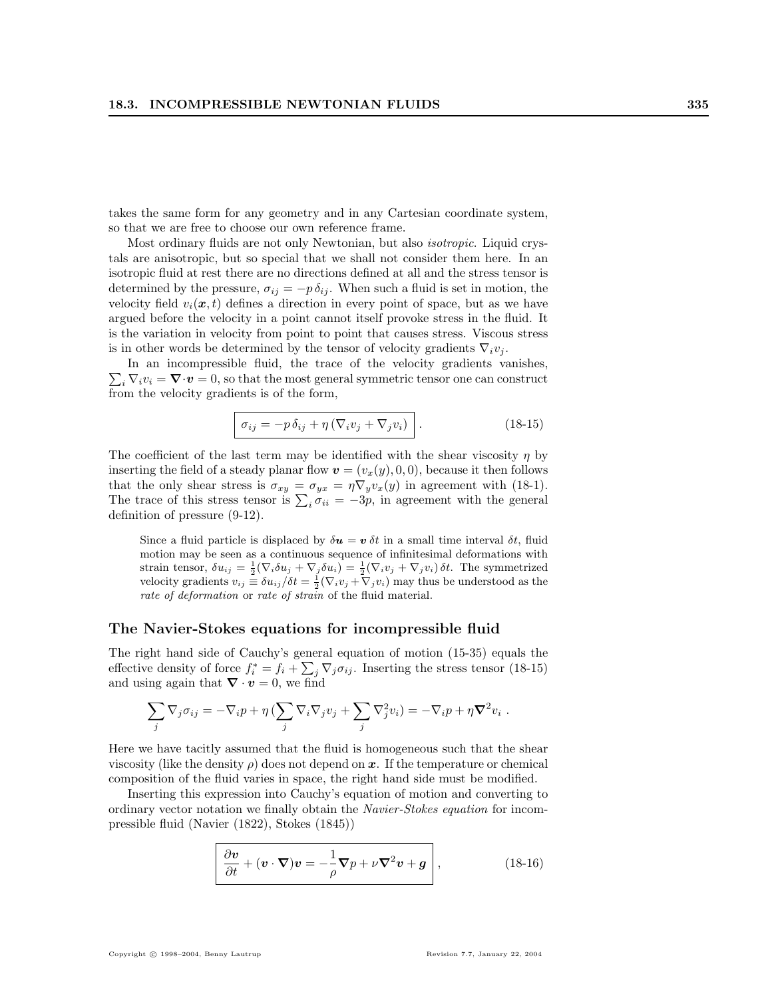takes the same form for any geometry and in any Cartesian coordinate system, so that we are free to choose our own reference frame.

Most ordinary fluids are not only Newtonian, but also isotropic. Liquid crystals are anisotropic, but so special that we shall not consider them here. In an isotropic fluid at rest there are no directions defined at all and the stress tensor is determined by the pressure,  $\sigma_{ij} = -p \delta_{ij}$ . When such a fluid is set in motion, the velocity field  $v_i(x, t)$  defines a direction in every point of space, but as we have argued before the velocity in a point cannot itself provoke stress in the fluid. It is the variation in velocity from point to point that causes stress. Viscous stress is in other words be determined by the tensor of velocity gradients  $\nabla_i v_i$ .

In an incompressible fitting, the trace of the velocity gradients vanishes,<br> $\sum_i \nabla_i v_i = \nabla \cdot v = 0$ , so that the most general symmetric tensor one can construct In an incompressible fluid, the trace of the velocity gradients vanishes, from the velocity gradients is of the form,

$$
\sigma_{ij} = -p \,\delta_{ij} + \eta \left( \nabla_i v_j + \nabla_j v_i \right) \,. \tag{18-15}
$$

The coefficient of the last term may be identified with the shear viscosity  $\eta$  by inserting the field of a steady planar flow  $\mathbf{v} = (v_x(y), 0, 0)$ , because it then follows that the only shear stress is  $\sigma_{xy} = \sigma_{yx} = \eta \nabla_y v_x(y)$  in agreement with (18-1). The trace of this stress tensor is  $\sum_i \sigma_{ii} = -3p$ , in agreement with the general definition of pressure (9-12).

Since a fluid particle is displaced by  $\delta u = v \,\delta t$  in a small time interval  $\delta t$ , fluid motion may be seen as a continuous sequence of infinitesimal deformations with strain tensor,  $\delta u_{ij} = \frac{1}{2} (\nabla_i \delta u_j + \nabla_j \delta u_i) = \frac{1}{2} (\nabla_i v_j + \nabla_j v_i) \delta t$ . The symmetrized velocity gradients  $v_{ij} \equiv \delta u_{ij}/\delta t = \frac{1}{2}(\nabla_i v_j + \nabla_j v_i)$  may thus be understood as the rate of deformation or rate of strain of the fluid material.

#### The Navier-Stokes equations for incompressible fluid

The right hand side of Cauchy's general equation of motion  $(15-35)$  equals the effective density of force  $f_i^* = f_i + \sum_j \nabla_j \sigma_{ij}$ . Inserting the stress tensor (18-15) and using again that  $\nabla \cdot \mathbf{v} = 0$ , we find

$$
\sum_j \nabla_j \sigma_{ij} = -\nabla_i p + \eta \left( \sum_j \nabla_i \nabla_j v_j + \sum_j \nabla_j^2 v_i \right) = -\nabla_i p + \eta \nabla^2 v_i.
$$

Here we have tacitly assumed that the fluid is homogeneous such that the shear viscosity (like the density  $\rho$ ) does not depend on x. If the temperature or chemical composition of the fluid varies in space, the right hand side must be modified.

Inserting this expression into Cauchy's equation of motion and converting to ordinary vector notation we finally obtain the Navier-Stokes equation for incompressible fluid (Navier (1822), Stokes (1845))

$$
\frac{\partial \mathbf{v}}{\partial t} + (\mathbf{v} \cdot \nabla) \mathbf{v} = -\frac{1}{\rho} \nabla p + \nu \nabla^2 \mathbf{v} + \mathbf{g}, \qquad (18-16)
$$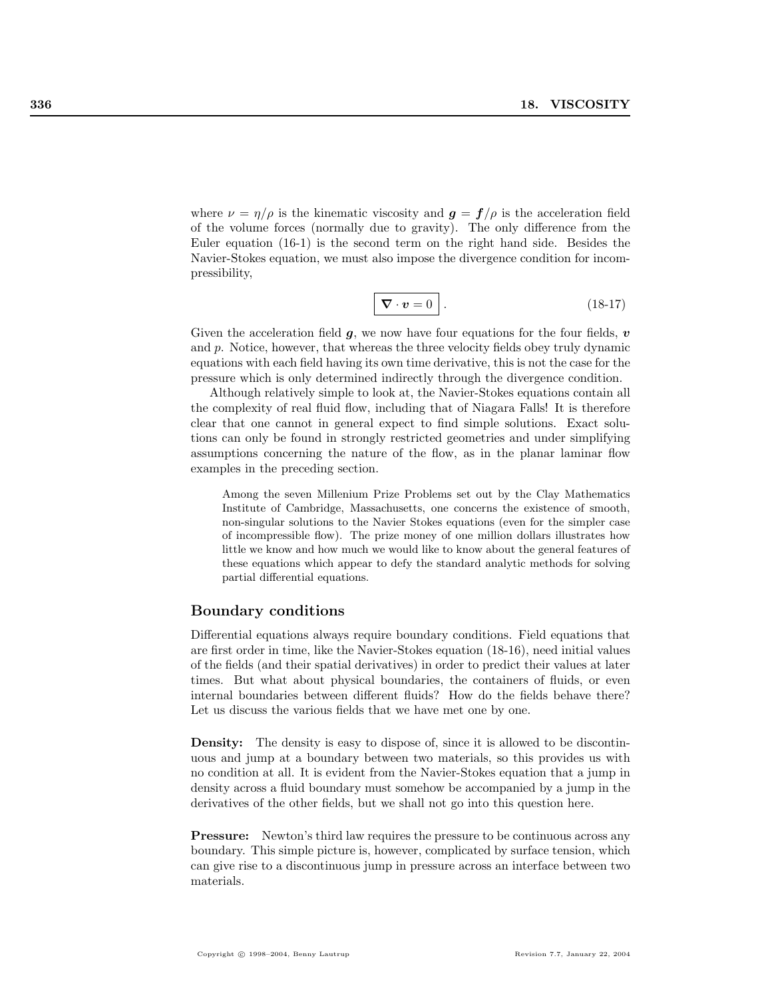where  $\nu = \eta/\rho$  is the kinematic viscosity and  $\mathbf{g} = \mathbf{f}/\rho$  is the acceleration field of the volume forces (normally due to gravity). The only difference from the Euler equation (16-1) is the second term on the right hand side. Besides the Navier-Stokes equation, we must also impose the divergence condition for incompressibility,

$$
\nabla \cdot \mathbf{v} = 0 \quad . \tag{18-17}
$$

Given the acceleration field  $g$ , we now have four equations for the four fields,  $v$ and p. Notice, however, that whereas the three velocity fields obey truly dynamic equations with each field having its own time derivative, this is not the case for the pressure which is only determined indirectly through the divergence condition.

Although relatively simple to look at, the Navier-Stokes equations contain all the complexity of real fluid flow, including that of Niagara Falls! It is therefore clear that one cannot in general expect to find simple solutions. Exact solutions can only be found in strongly restricted geometries and under simplifying assumptions concerning the nature of the flow, as in the planar laminar flow examples in the preceding section.

Among the seven Millenium Prize Problems set out by the Clay Mathematics Institute of Cambridge, Massachusetts, one concerns the existence of smooth, non-singular solutions to the Navier Stokes equations (even for the simpler case of incompressible flow). The prize money of one million dollars illustrates how little we know and how much we would like to know about the general features of these equations which appear to defy the standard analytic methods for solving partial differential equations.

#### Boundary conditions

Differential equations always require boundary conditions. Field equations that are first order in time, like the Navier-Stokes equation (18-16), need initial values of the fields (and their spatial derivatives) in order to predict their values at later times. But what about physical boundaries, the containers of fluids, or even internal boundaries between different fluids? How do the fields behave there? Let us discuss the various fields that we have met one by one.

Density: The density is easy to dispose of, since it is allowed to be discontinuous and jump at a boundary between two materials, so this provides us with no condition at all. It is evident from the Navier-Stokes equation that a jump in density across a fluid boundary must somehow be accompanied by a jump in the derivatives of the other fields, but we shall not go into this question here.

**Pressure:** Newton's third law requires the pressure to be continuous across any boundary. This simple picture is, however, complicated by surface tension, which can give rise to a discontinuous jump in pressure across an interface between two materials.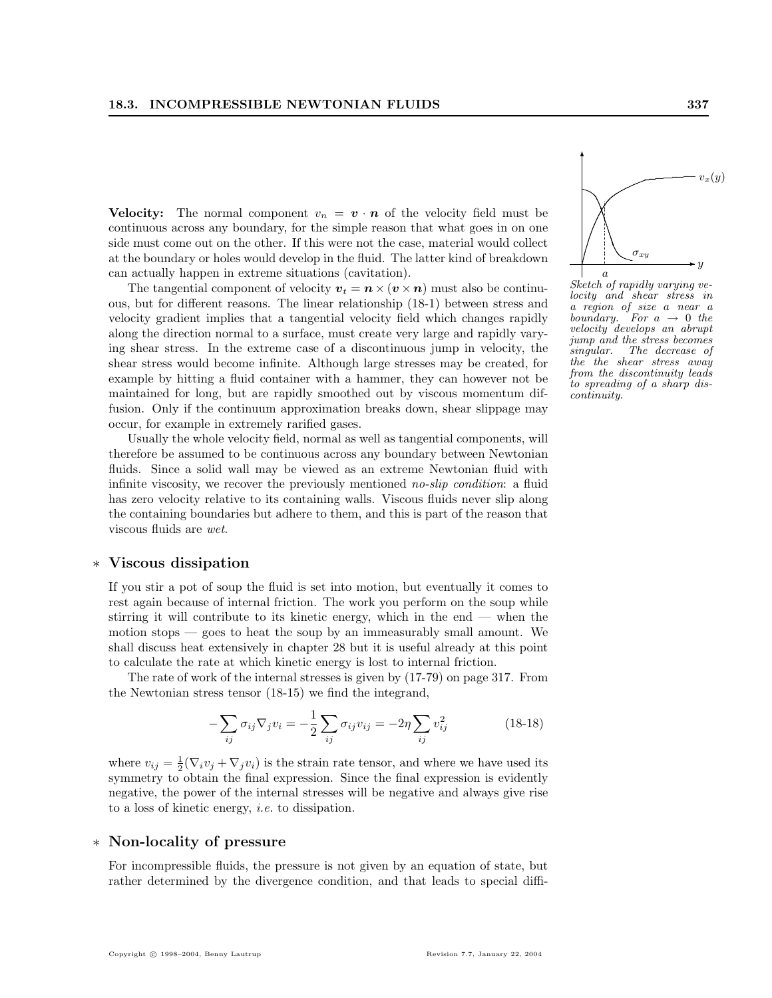**Velocity:** The normal component  $v_n = v \cdot n$  of the velocity field must be continuous across any boundary, for the simple reason that what goes in on one side must come out on the other. If this were not the case, material would collect at the boundary or holes would develop in the fluid. The latter kind of breakdown can actually happen in extreme situations (cavitation).

The tangential component of velocity  $v_t = n \times (v \times n)$  must also be continuous, but for different reasons. The linear relationship (18-1) between stress and velocity gradient implies that a tangential velocity field which changes rapidly along the direction normal to a surface, must create very large and rapidly varying shear stress. In the extreme case of a discontinuous jump in velocity, the shear stress would become infinite. Although large stresses may be created, for example by hitting a fluid container with a hammer, they can however not be maintained for long, but are rapidly smoothed out by viscous momentum diffusion. Only if the continuum approximation breaks down, shear slippage may occur, for example in extremely rarified gases.

Usually the whole velocity field, normal as well as tangential components, will therefore be assumed to be continuous across any boundary between Newtonian fluids. Since a solid wall may be viewed as an extreme Newtonian fluid with infinite viscosity, we recover the previously mentioned no-slip condition: a fluid has zero velocity relative to its containing walls. Viscous fluids never slip along the containing boundaries but adhere to them, and this is part of the reason that viscous fluids are wet.

#### ∗ Viscous dissipation

If you stir a pot of soup the fluid is set into motion, but eventually it comes to rest again because of internal friction. The work you perform on the soup while stirring it will contribute to its kinetic energy, which in the end  $-$  when the motion stops — goes to heat the soup by an immeasurably small amount. We shall discuss heat extensively in chapter 28 but it is useful already at this point to calculate the rate at which kinetic energy is lost to internal friction.

The rate of work of the internal stresses is given by (17-79) on page 317. From the Newtonian stress tensor (18-15) we find the integrand,

$$
-\sum_{ij}\sigma_{ij}\nabla_j v_i = -\frac{1}{2}\sum_{ij}\sigma_{ij}v_{ij} = -2\eta\sum_{ij}v_{ij}^2
$$
 (18-18)

where  $v_{ij} = \frac{1}{2}(\nabla_i v_j + \nabla_j v_i)$  is the strain rate tensor, and where we have used its symmetry to obtain the final expression. Since the final expression is evidently negative, the power of the internal stresses will be negative and always give rise to a loss of kinetic energy, i.e. to dissipation.

## ∗ Non-locality of pressure

For incompressible fluids, the pressure is not given by an equation of state, but rather determined by the divergence condition, and that leads to special diffi-



Sketch of rapidly varying velocity and shear stress in  $\alpha$  region of size  $\alpha$  near  $\alpha$ boundary. For  $a \rightarrow 0$  the velocity develops an abrupt jump and the stress becomes singular. The decrease of the the shear stress away from the discontinuity leads to spreading of a sharp discontinuity.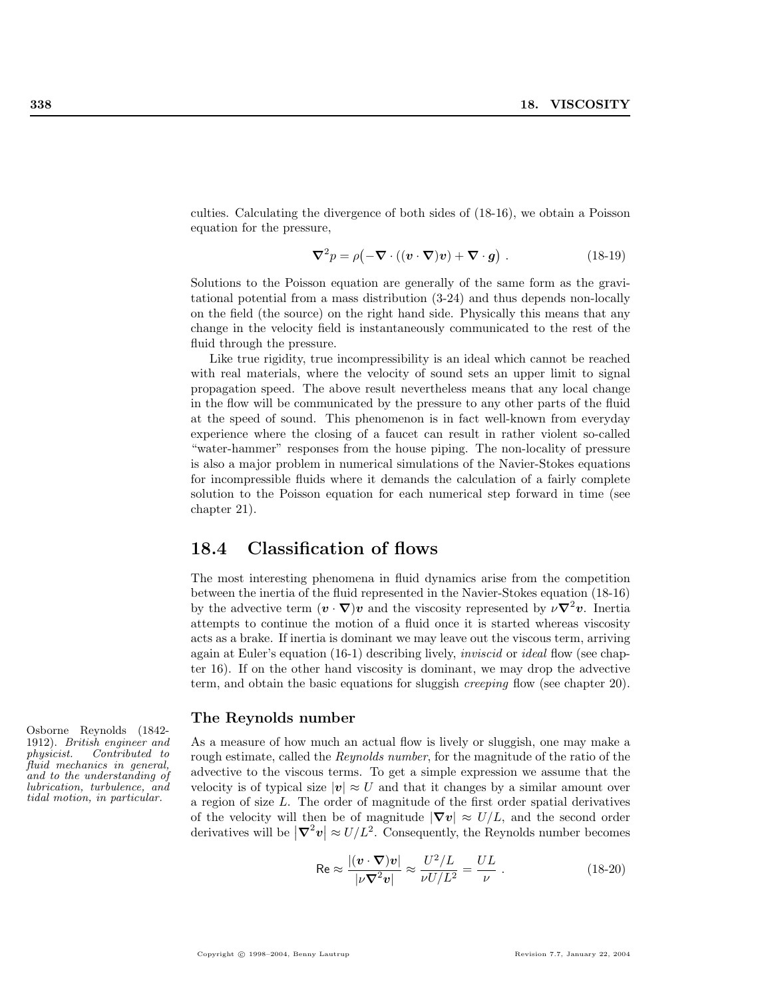culties. Calculating the divergence of both sides of (18-16), we obtain a Poisson equation for the pressure,

$$
\nabla^2 p = \rho \left( -\nabla \cdot ((\boldsymbol{v} \cdot \nabla) \boldsymbol{v}) + \nabla \cdot \boldsymbol{g} \right) . \tag{18-19}
$$

Solutions to the Poisson equation are generally of the same form as the gravitational potential from a mass distribution (3-24) and thus depends non-locally on the field (the source) on the right hand side. Physically this means that any change in the velocity field is instantaneously communicated to the rest of the fluid through the pressure.

Like true rigidity, true incompressibility is an ideal which cannot be reached with real materials, where the velocity of sound sets an upper limit to signal propagation speed. The above result nevertheless means that any local change in the flow will be communicated by the pressure to any other parts of the fluid at the speed of sound. This phenomenon is in fact well-known from everyday experience where the closing of a faucet can result in rather violent so-called "water-hammer" responses from the house piping. The non-locality of pressure is also a major problem in numerical simulations of the Navier-Stokes equations for incompressible fluids where it demands the calculation of a fairly complete solution to the Poisson equation for each numerical step forward in time (see chapter 21).

# 18.4 Classification of flows

The most interesting phenomena in fluid dynamics arise from the competition between the inertia of the fluid represented in the Navier-Stokes equation (18-16) by the advective term  $(v \cdot \nabla)v$  and the viscosity represented by  $\nu \nabla^2 v$ . Inertia attempts to continue the motion of a fluid once it is started whereas viscosity acts as a brake. If inertia is dominant we may leave out the viscous term, arriving again at Euler's equation (16-1) describing lively, inviscid or ideal flow (see chapter 16). If on the other hand viscosity is dominant, we may drop the advective term, and obtain the basic equations for sluggish creeping flow (see chapter 20).

#### The Reynolds number

As a measure of how much an actual flow is lively or sluggish, one may make a rough estimate, called the *Reynolds number*, for the magnitude of the ratio of the advective to the viscous terms. To get a simple expression we assume that the velocity is of typical size  $|v| \approx U$  and that it changes by a similar amount over a region of size L. The order of magnitude of the first order spatial derivatives of the velocity will then be of magnitude  $|\nabla v| \approx U/L$ , and the second order derivatives will be  $|\nabla^2 v| \approx U/L^2$ . Consequently, the Reynolds number becomes

$$
\text{Re} \approx \frac{|(\mathbf{v} \cdot \nabla)\mathbf{v}|}{|\nu \nabla^2 \mathbf{v}|} \approx \frac{U^2/L}{\nu U/L^2} = \frac{UL}{\nu} \ . \tag{18-20}
$$

Osborne Reynolds (1842- 1912). British engineer and<br>physicist. Contributed to physicist. Contributed to fluid mechanics in general, and to the understanding of lubrication, turbulence, and tidal motion, in particular.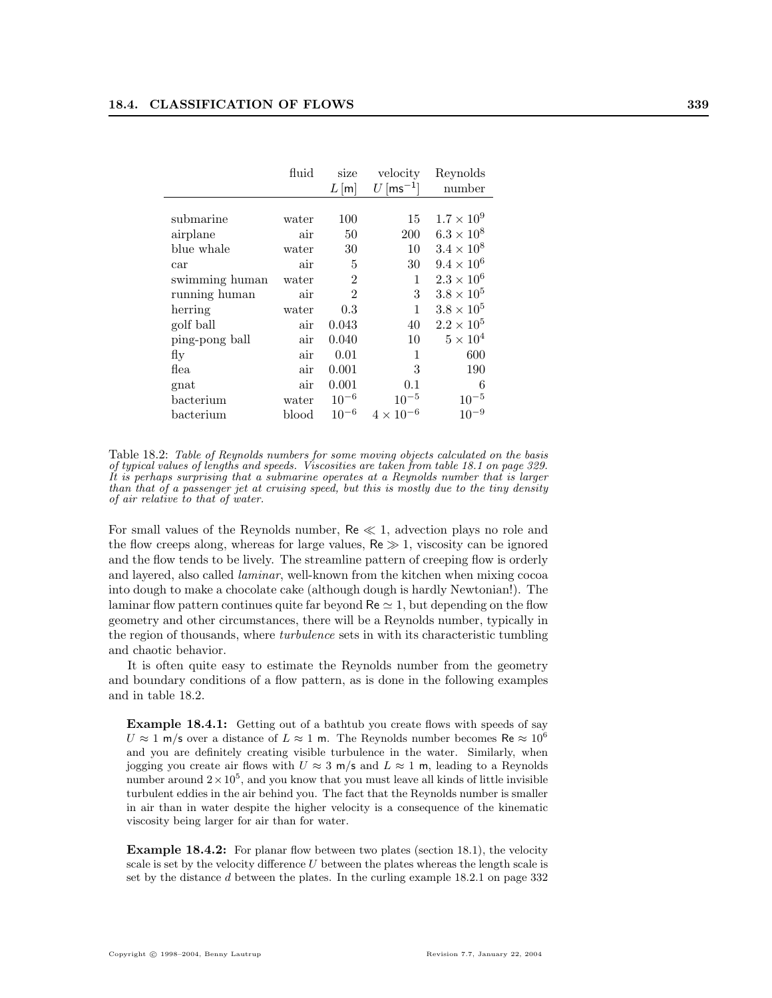|                | fluid                | size              | velocity                 | Reynolds            |
|----------------|----------------------|-------------------|--------------------------|---------------------|
|                |                      | $L \, [\text{m}]$ | $U\, [\mathrm{ms}^{-1}]$ | number              |
|                |                      |                   |                          |                     |
| submarine      | water                | 100               | 15                       | $1.7 \times 10^{9}$ |
| airplane       | air                  | 50                | 200                      | $6.3 \times 10^8$   |
| blue whale     | water                | 30                | 10                       | $3.4 \times 10^8$   |
| car            | air                  | 5                 | 30                       | $9.4 \times 10^{6}$ |
| swimming human | water                | $\overline{2}$    | $\mathbf{1}$             | $2.3 \times 10^{6}$ |
| running human  | air                  | $\overline{2}$    | 3                        | $3.8 \times 10^5$   |
| herring        | water                | 0.3               | 1                        | $3.8 \times 10^5$   |
| golf ball      | $\operatorname{air}$ | 0.043             | 40                       | $2.2 \times 10^{5}$ |
| ping-pong ball | air                  | 0.040             | 10                       | $5\times10^4$       |
| fly            | $\operatorname{air}$ | 0.01              | 1                        | 600                 |
| flea           | air                  | 0.001             | 3                        | 190                 |
| gnat           | $\operatorname{air}$ | 0.001             | 0.1                      | 6                   |
| bacterium      | water                | $10^{-6}$         | $10^{-5}$                | $10^{-5}$           |
| bacterium      | blood                | $10^{-6}$         | $4 \times 10^{-6}$       | $10^{-9}$           |

Table 18.2: Table of Reynolds numbers for some moving objects calculated on the basis of typical values of lengths and speeds. Viscosities are taken from table 18.1 on page 329. It is perhaps surprising that a submarine operates at a Reynolds number that is larger than that of a passenger jet at cruising speed, but this is mostly due to the tiny density of air relative to that of water.

For small values of the Reynolds number,  $\text{Re} \ll 1$ , advection plays no role and the flow creeps along, whereas for large values,  $Re \gg 1$ , viscosity can be ignored and the flow tends to be lively. The streamline pattern of creeping flow is orderly and layered, also called laminar, well-known from the kitchen when mixing cocoa into dough to make a chocolate cake (although dough is hardly Newtonian!). The laminar flow pattern continues quite far beyond  $\text{Re} \simeq 1$ , but depending on the flow geometry and other circumstances, there will be a Reynolds number, typically in the region of thousands, where turbulence sets in with its characteristic tumbling and chaotic behavior.

It is often quite easy to estimate the Reynolds number from the geometry and boundary conditions of a flow pattern, as is done in the following examples and in table 18.2.

**Example 18.4.1:** Getting out of a bathtub you create flows with speeds of say  $U \approx 1$  m/s over a distance of  $L \approx 1$  m. The Reynolds number becomes Re  $\approx 10^6$ and you are definitely creating visible turbulence in the water. Similarly, when jogging you create air flows with  $U \approx 3$  m/s and  $L \approx 1$  m, leading to a Reynolds number around  $2 \times 10^5$ , and you know that you must leave all kinds of little invisible turbulent eddies in the air behind you. The fact that the Reynolds number is smaller in air than in water despite the higher velocity is a consequence of the kinematic viscosity being larger for air than for water.

**Example 18.4.2:** For planar flow between two plates (section 18.1), the velocity scale is set by the velocity difference  $U$  between the plates whereas the length scale is set by the distance d between the plates. In the curling example 18.2.1 on page 332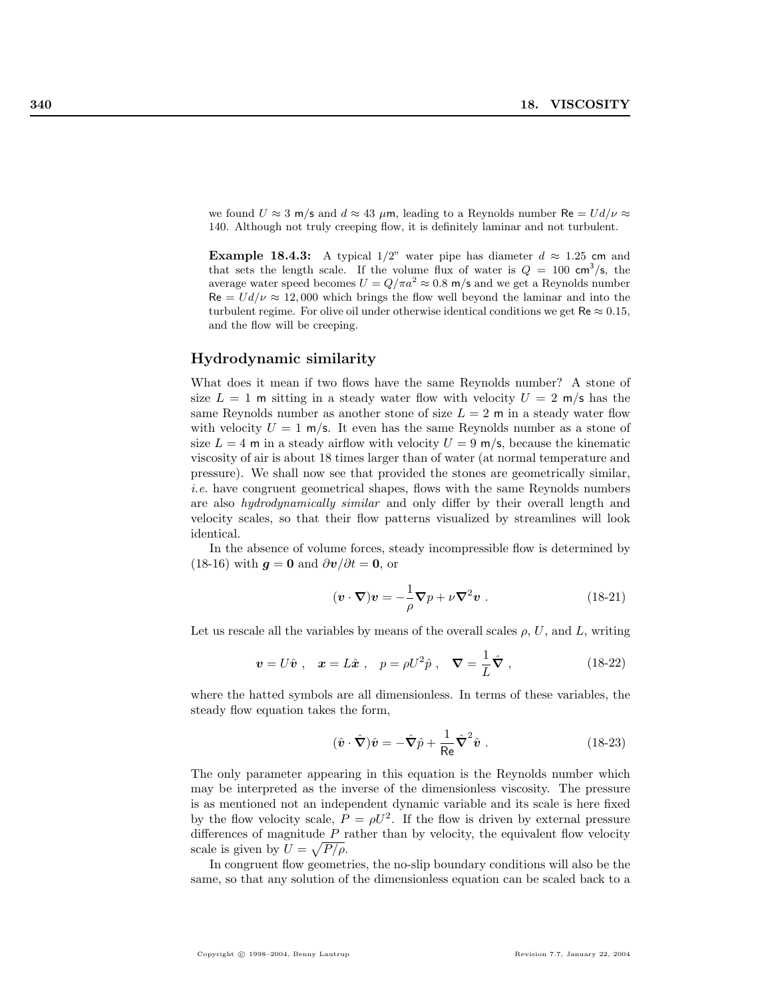we found  $U \approx 3$  m/s and  $d \approx 43 \mu$ m, leading to a Reynolds number Re =  $U d/\nu \approx$ 140. Although not truly creeping flow, it is definitely laminar and not turbulent.

**Example 18.4.3:** A typical 1/2" water pipe has diameter  $d \approx 1.25$  cm and that sets the length scale. If the volume flux of water is  $Q = 100 \text{ cm}^3/\text{s}$ , the average water speed becomes  $U = Q/\pi a^2 \approx 0.8 \text{ m/s}$  and we get a Reynolds number  $\text{Re} = U d/\nu \approx 12,000$  which brings the flow well beyond the laminar and into the turbulent regime. For olive oil under otherwise identical conditions we get  $\text{Re} \approx 0.15$ , and the flow will be creeping.

## Hydrodynamic similarity

What does it mean if two flows have the same Reynolds number? A stone of size  $L = 1$  m sitting in a steady water flow with velocity  $U = 2$  m/s has the same Reynolds number as another stone of size  $L = 2$  m in a steady water flow with velocity  $U = 1$  m/s. It even has the same Reynolds number as a stone of size  $L = 4$  m in a steady airflow with velocity  $U = 9$  m/s, because the kinematic viscosity of air is about 18 times larger than of water (at normal temperature and pressure). We shall now see that provided the stones are geometrically similar, i.e. have congruent geometrical shapes, flows with the same Reynolds numbers are also hydrodynamically similar and only differ by their overall length and velocity scales, so that their flow patterns visualized by streamlines will look identical.

In the absence of volume forces, steady incompressible flow is determined by (18-16) with  $q = 0$  and  $\partial v / \partial t = 0$ , or

$$
(\mathbf{v} \cdot \nabla)\mathbf{v} = -\frac{1}{\rho} \nabla p + \nu \nabla^2 \mathbf{v} . \qquad (18-21)
$$

Let us rescale all the variables by means of the overall scales  $\rho$ , U, and L, writing

$$
\mathbf{v} = U\hat{\mathbf{v}}, \quad \mathbf{x} = L\hat{\mathbf{x}}, \quad p = \rho U^2 \hat{p}, \quad \nabla = \frac{1}{L}\hat{\nabla}, \quad (18-22)
$$

where the hatted symbols are all dimensionless. In terms of these variables, the steady flow equation takes the form,

$$
(\hat{\boldsymbol{v}} \cdot \hat{\boldsymbol{\nabla}})\hat{\boldsymbol{v}} = -\hat{\boldsymbol{\nabla}}\hat{p} + \frac{1}{\text{Re}}\hat{\boldsymbol{\nabla}}^2\hat{\boldsymbol{v}}.
$$
 (18-23)

The only parameter appearing in this equation is the Reynolds number which may be interpreted as the inverse of the dimensionless viscosity. The pressure is as mentioned not an independent dynamic variable and its scale is here fixed by the flow velocity scale,  $P = \rho U^2$ . If the flow is driven by external pressure differences of magnitude  $P$  rather than by velocity, the equivalent flow velocity scale is given by  $U = \sqrt{P/\rho}$ .

In congruent flow geometries, the no-slip boundary conditions will also be the same, so that any solution of the dimensionless equation can be scaled back to a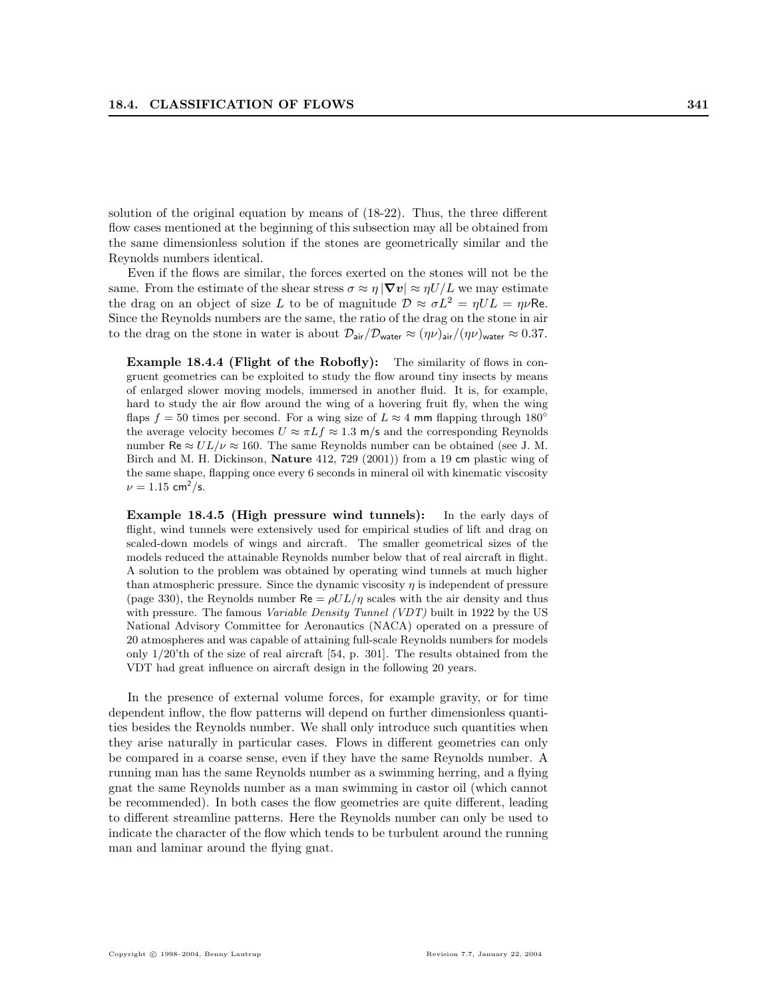solution of the original equation by means of (18-22). Thus, the three different flow cases mentioned at the beginning of this subsection may all be obtained from the same dimensionless solution if the stones are geometrically similar and the Reynolds numbers identical.

Even if the flows are similar, the forces exerted on the stones will not be the same. From the estimate of the shear stress  $\sigma \approx \eta |\nabla v| \approx \eta U/L$  we may estimate the drag on an object of size L to be of magnitude  $\mathcal{D} \approx \sigma L^2 = \eta UL = \eta \nu \text{Re}$ . Since the Reynolds numbers are the same, the ratio of the drag on the stone in air to the drag on the stone in water is about  $\mathcal{D}_{\text{air}}/\mathcal{D}_{\text{water}} \approx (\eta \nu)_{\text{air}}/(\eta \nu)_{\text{water}} \approx 0.37$ .

Example 18.4.4 (Flight of the Robofly): The similarity of flows in congruent geometries can be exploited to study the flow around tiny insects by means of enlarged slower moving models, immersed in another fluid. It is, for example, hard to study the air flow around the wing of a hovering fruit fly, when the wing flaps  $f = 50$  times per second. For a wing size of  $L \approx 4$  mm flapping through 180<sup>°</sup> the average velocity becomes  $U \approx \pi L f \approx 1.3$  m/s and the corresponding Reynolds number Re  $\approx UL/\nu \approx 160$ . The same Reynolds number can be obtained (see J. M. Birch and M. H. Dickinson, Nature 412, 729 (2001)) from a 19 cm plastic wing of the same shape, flapping once every 6 seconds in mineral oil with kinematic viscosity  $\nu = 1.15 \text{ cm}^2/\text{s}.$ 

Example 18.4.5 (High pressure wind tunnels): In the early days of flight, wind tunnels were extensively used for empirical studies of lift and drag on scaled-down models of wings and aircraft. The smaller geometrical sizes of the models reduced the attainable Reynolds number below that of real aircraft in flight. A solution to the problem was obtained by operating wind tunnels at much higher than atmospheric pressure. Since the dynamic viscosity  $\eta$  is independent of pressure (page 330), the Reynolds number  $\text{Re} = \rho U L / \eta$  scales with the air density and thus with pressure. The famous *Variable Density Tunnel (VDT)* built in 1922 by the US National Advisory Committee for Aeronautics (NACA) operated on a pressure of 20 atmospheres and was capable of attaining full-scale Reynolds numbers for models only  $1/20$ 'th of the size of real aircraft [54, p. 301]. The results obtained from the VDT had great influence on aircraft design in the following 20 years.

In the presence of external volume forces, for example gravity, or for time dependent inflow, the flow patterns will depend on further dimensionless quantities besides the Reynolds number. We shall only introduce such quantities when they arise naturally in particular cases. Flows in different geometries can only be compared in a coarse sense, even if they have the same Reynolds number. A running man has the same Reynolds number as a swimming herring, and a flying gnat the same Reynolds number as a man swimming in castor oil (which cannot be recommended). In both cases the flow geometries are quite different, leading to different streamline patterns. Here the Reynolds number can only be used to indicate the character of the flow which tends to be turbulent around the running man and laminar around the flying gnat.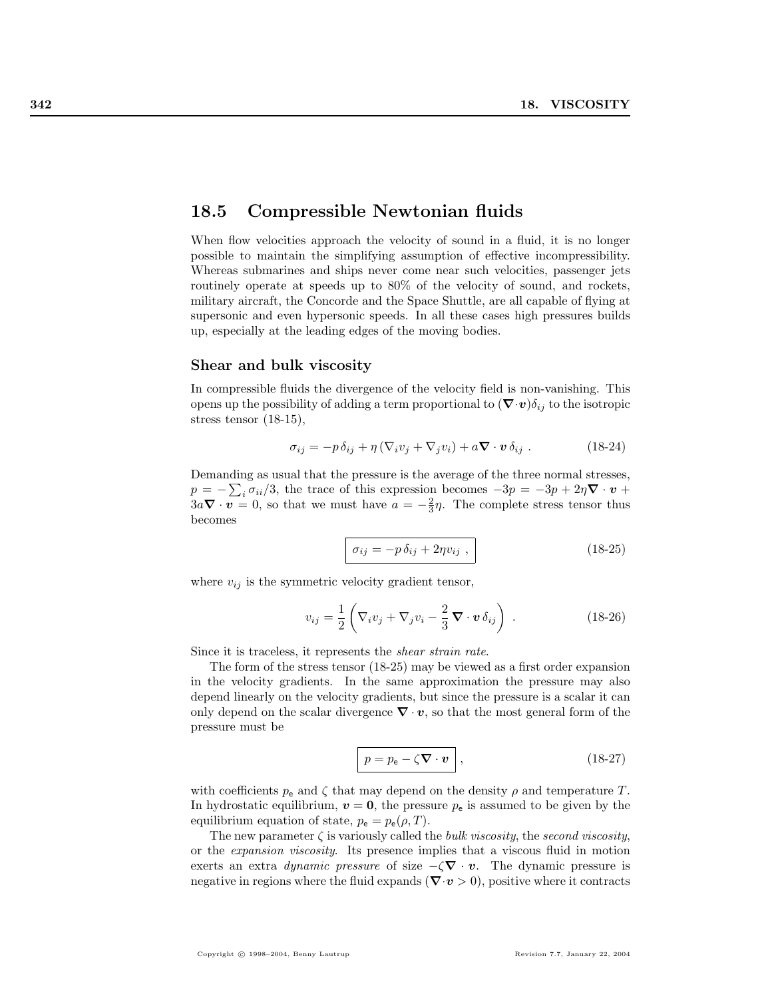# 18.5 Compressible Newtonian fluids

When flow velocities approach the velocity of sound in a fluid, it is no longer possible to maintain the simplifying assumption of effective incompressibility. Whereas submarines and ships never come near such velocities, passenger jets routinely operate at speeds up to 80% of the velocity of sound, and rockets, military aircraft, the Concorde and the Space Shuttle, are all capable of flying at supersonic and even hypersonic speeds. In all these cases high pressures builds up, especially at the leading edges of the moving bodies.

#### Shear and bulk viscosity

In compressible fluids the divergence of the velocity field is non-vanishing. This opens up the possibility of adding a term proportional to  $(\nabla \cdot v)\delta_{ij}$  to the isotropic stress tensor (18-15),

$$
\sigma_{ij} = -p \,\delta_{ij} + \eta \left( \nabla_i v_j + \nabla_j v_i \right) + a \mathbf{\nabla} \cdot \mathbf{v} \,\delta_{ij} \,. \tag{18-24}
$$

Demanding as usual that the pressure is the average of the three normal stresses,  $p = -\sum_i \sigma_{ii}/3$ , the trace of this expression becomes  $-3p = -3p + 2\eta \nabla \cdot \mathbf{v} +$  $3a\nabla \cdot \vec{v} = 0$ , so that we must have  $a = -\frac{2}{3}\eta$ . The complete stress tensor thus becomes

$$
\sigma_{ij} = -p \,\delta_{ij} + 2\eta v_{ij} \,, \tag{18-25}
$$

where  $v_{ij}$  is the symmetric velocity gradient tensor,

$$
v_{ij} = \frac{1}{2} \left( \nabla_i v_j + \nabla_j v_i - \frac{2}{3} \, \nabla \cdot \boldsymbol{v} \, \delta_{ij} \right) . \tag{18-26}
$$

Since it is traceless, it represents the shear strain rate.

The form of the stress tensor (18-25) may be viewed as a first order expansion in the velocity gradients. In the same approximation the pressure may also depend linearly on the velocity gradients, but since the pressure is a scalar it can only depend on the scalar divergence  $\nabla \cdot v$ , so that the most general form of the pressure must be

$$
\boxed{p = p_{\mathsf{e}} - \zeta \nabla \cdot \boldsymbol{v}},\tag{18-27}
$$

with coefficients  $p_e$  and  $\zeta$  that may depend on the density  $\rho$  and temperature T. In hydrostatic equilibrium,  $v = 0$ , the pressure  $p_e$  is assumed to be given by the equilibrium equation of state,  $p_e = p_e(\rho, T)$ .

The new parameter  $\zeta$  is variously called the *bulk viscosity*, the *second viscosity*, or the expansion viscosity. Its presence implies that a viscous fluid in motion exerts an extra *dynamic pressure* of size  $-\zeta \nabla \cdot v$ . The dynamic pressure is negative in regions where the fluid expands ( $\nabla \cdot v > 0$ ), positive where it contracts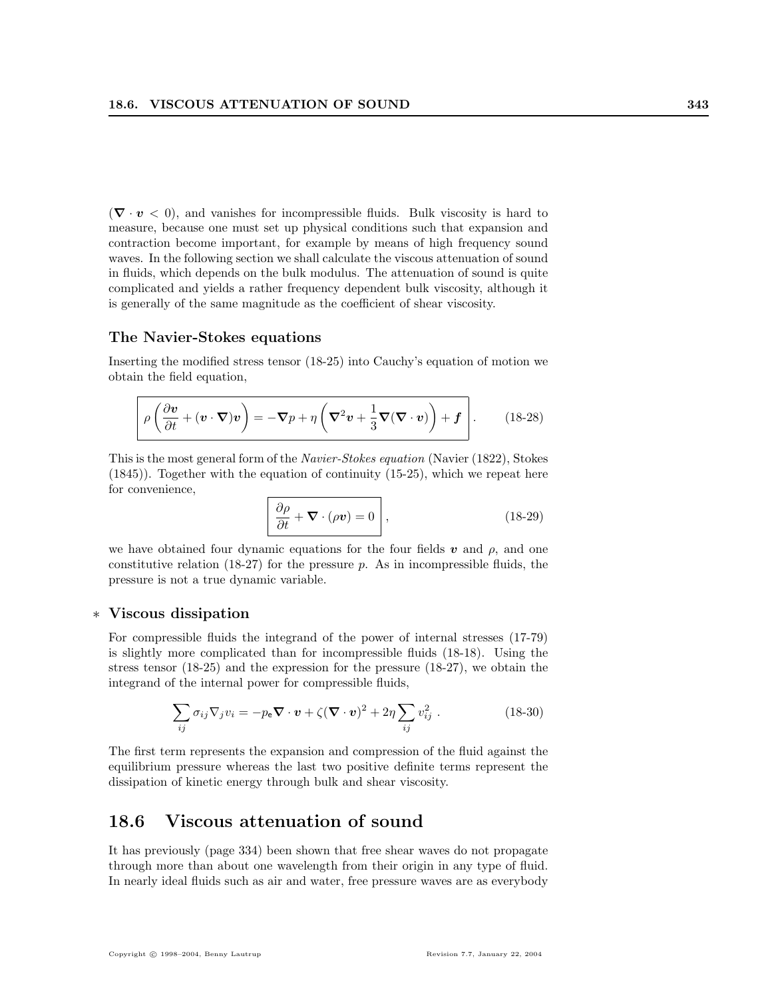$(\nabla \cdot \mathbf{v} < 0)$ , and vanishes for incompressible fluids. Bulk viscosity is hard to measure, because one must set up physical conditions such that expansion and contraction become important, for example by means of high frequency sound waves. In the following section we shall calculate the viscous attenuation of sound in fluids, which depends on the bulk modulus. The attenuation of sound is quite complicated and yields a rather frequency dependent bulk viscosity, although it is generally of the same magnitude as the coefficient of shear viscosity.

## The Navier-Stokes equations

Inserting the modified stress tensor (18-25) into Cauchy's equation of motion we obtain the field equation,

$$
\rho\left(\frac{\partial v}{\partial t} + (v \cdot \nabla)v\right) = -\nabla p + \eta\left(\nabla^2 v + \frac{1}{3}\nabla(\nabla \cdot v)\right) + f.
$$
 (18-28)

This is the most general form of the Navier-Stokes equation (Navier (1822), Stokes (1845)). Together with the equation of continuity (15-25), which we repeat here for convenience,

$$
\frac{\partial \rho}{\partial t} + \nabla \cdot (\rho \mathbf{v}) = 0 \qquad (18-29)
$$

we have obtained four dynamic equations for the four fields  $\boldsymbol{v}$  and  $\rho$ , and one constitutive relation  $(18-27)$  for the pressure p. As in incompressible fluids, the pressure is not a true dynamic variable.

#### ∗ Viscous dissipation

For compressible fluids the integrand of the power of internal stresses (17-79) is slightly more complicated than for incompressible fluids (18-18). Using the stress tensor (18-25) and the expression for the pressure (18-27), we obtain the integrand of the internal power for compressible fluids,

$$
\sum_{ij} \sigma_{ij} \nabla_j v_i = -p_e \nabla \cdot \boldsymbol{v} + \zeta (\nabla \cdot \boldsymbol{v})^2 + 2\eta \sum_{ij} v_{ij}^2 . \qquad (18-30)
$$

The first term represents the expansion and compression of the fluid against the equilibrium pressure whereas the last two positive definite terms represent the dissipation of kinetic energy through bulk and shear viscosity.

# 18.6 Viscous attenuation of sound

It has previously (page 334) been shown that free shear waves do not propagate through more than about one wavelength from their origin in any type of fluid. In nearly ideal fluids such as air and water, free pressure waves are as everybody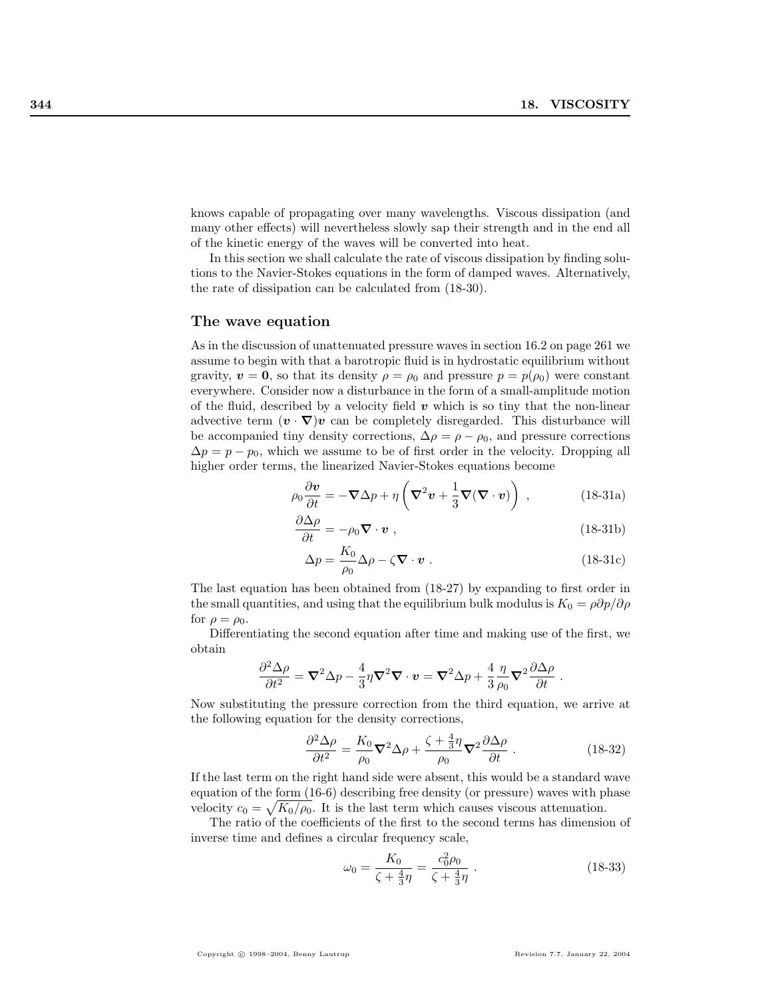knows capable of propagating over many wavelengths. Viscous dissipation (and many other effects) will nevertheless slowly sap their strength and in the end all of the kinetic energy of the waves will be converted into heat.

In this section we shall calculate the rate of viscous dissipation by finding solutions to the Navier-Stokes equations in the form of damped waves. Alternatively, the rate of dissipation can be calculated from (18-30).

#### The wave equation

As in the discussion of unattenuated pressure waves in section 16.2 on page 261 we assume to begin with that a barotropic fluid is in hydrostatic equilibrium without gravity,  $v = 0$ , so that its density  $\rho = \rho_0$  and pressure  $p = p(\rho_0)$  were constant everywhere. Consider now a disturbance in the form of a small-amplitude motion of the fluid, described by a velocity field  $v$  which is so tiny that the non-linear advective term  $(v \cdot \nabla)v$  can be completely disregarded. This disturbance will be accompanied tiny density corrections,  $\Delta \rho = \rho - \rho_0$ , and pressure corrections  $\Delta p = p - p_0$ , which we assume to be of first order in the velocity. Dropping all higher order terms, the linearized Navier-Stokes equations become  $\mathcal{L}$   $\mathcal{L}$   $\mathcal{L}$   $\mathcal{L}$   $\mathcal{L}$ 

$$
\rho_0 \frac{\partial \mathbf{v}}{\partial t} = -\nabla \Delta p + \eta \left( \nabla^2 \mathbf{v} + \frac{1}{3} \nabla (\nabla \cdot \mathbf{v}) \right) , \qquad (18-31a)
$$

$$
\frac{\partial \Delta \rho}{\partial t} = -\rho_0 \nabla \cdot \mathbf{v} \tag{18-31b}
$$

$$
\Delta p = \frac{K_0}{\rho_0} \Delta \rho - \zeta \nabla \cdot \mathbf{v} \ . \tag{18-31c}
$$

The last equation has been obtained from (18-27) by expanding to first order in the small quantities, and using that the equilibrium bulk modulus is  $K_0 = \rho \partial p / \partial \rho$ for  $\rho = \rho_0$ .

Differentiating the second equation after time and making use of the first, we obtain

$$
\frac{\partial^2 \Delta \rho}{\partial t^2} = \nabla^2 \Delta p - \frac{4}{3} \eta \nabla^2 \nabla \cdot \boldsymbol{v} = \nabla^2 \Delta p + \frac{4}{3} \frac{\eta}{\rho_0} \nabla^2 \frac{\partial \Delta \rho}{\partial t}.
$$

Now substituting the pressure correction from the third equation, we arrive at the following equation for the density corrections,

$$
\frac{\partial^2 \Delta \rho}{\partial t^2} = \frac{K_0}{\rho_0} \nabla^2 \Delta \rho + \frac{\zeta + \frac{4}{3} \eta}{\rho_0} \nabla^2 \frac{\partial \Delta \rho}{\partial t} . \tag{18-32}
$$

If the last term on the right hand side were absent, this would be a standard wave equation of the form  $(16-6)$  describing free density (or pressure) waves with phase velocity  $c_0 = \sqrt{K_0/\rho_0}$ . It is the last term which causes viscous attenuation.

The ratio of the coefficients of the first to the second terms has dimension of inverse time and defines a circular frequency scale,

$$
\omega_0 = \frac{K_0}{\zeta + \frac{4}{3}\eta} = \frac{c_0^2 \rho_0}{\zeta + \frac{4}{3}\eta} \ . \tag{18-33}
$$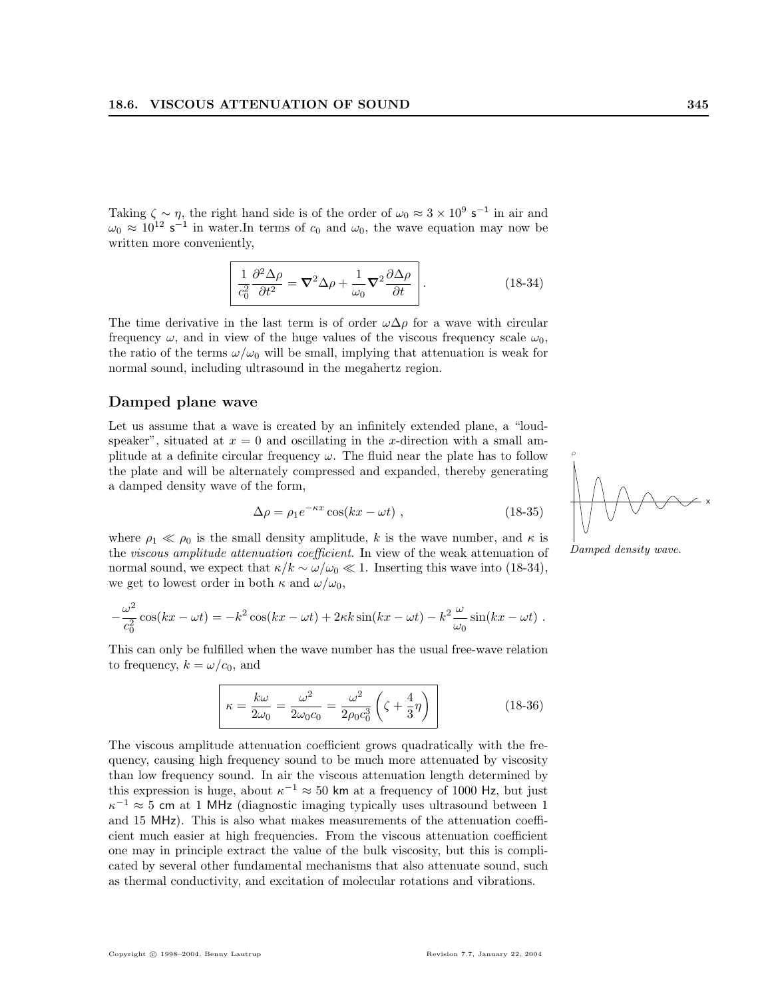Taking  $\zeta \sim \eta$ , the right hand side is of the order of  $\omega_0 \approx 3 \times 10^9$  s<sup>-1</sup> in air and  $\omega_0 \approx 10^{12} \text{ s}^{-1}$  in water. In terms of  $c_0$  and  $\omega_0$ , the wave equation may now be written more conveniently,

$$
\frac{1}{c_0^2} \frac{\partial^2 \Delta \rho}{\partial t^2} = \nabla^2 \Delta \rho + \frac{1}{\omega_0} \nabla^2 \frac{\partial \Delta \rho}{\partial t}.
$$
\n(18-34)

The time derivative in the last term is of order  $\omega \Delta \rho$  for a wave with circular frequency  $\omega$ , and in view of the huge values of the viscous frequency scale  $\omega_0$ , the ratio of the terms  $\omega/\omega_0$  will be small, implying that attenuation is weak for normal sound, including ultrasound in the megahertz region.

#### Damped plane wave

Let us assume that a wave is created by an infinitely extended plane, a "loudspeaker", situated at  $x = 0$  and oscillating in the x-direction with a small amplitude at a definite circular frequency  $\omega$ . The fluid near the plate has to follow the plate and will be alternately compressed and expanded, thereby generating a damped density wave of the form,

$$
\Delta \rho = \rho_1 e^{-\kappa x} \cos(kx - \omega t) , \qquad (18-35)
$$

where  $\rho_1 \ll \rho_0$  is the small density amplitude, k is the wave number, and  $\kappa$  is the viscous amplitude attenuation coefficient. In view of the weak attenuation of  $Damped$  density wave. normal sound, we expect that  $\kappa/k \sim \omega/\omega_0 \ll 1$ . Inserting this wave into (18-34), we get to lowest order in both  $\kappa$  and  $\omega/\omega_0$ ,

$$
-\frac{\omega^2}{c_0^2}\cos(kx - \omega t) = -k^2\cos(kx - \omega t) + 2\kappa k\sin(kx - \omega t) - k^2\frac{\omega}{\omega_0}\sin(kx - \omega t).
$$

This can only be fulfilled when the wave number has the usual free-wave relation to frequency,  $k = \omega/c_0$ , and

$$
\kappa = \frac{k\omega}{2\omega_0} = \frac{\omega^2}{2\omega_0 c_0} = \frac{\omega^2}{2\rho_0 c_0^3} \left(\zeta + \frac{4}{3}\eta\right)
$$
\n(18-36)

The viscous amplitude attenuation coefficient grows quadratically with the frequency, causing high frequency sound to be much more attenuated by viscosity than low frequency sound. In air the viscous attenuation length determined by this expression is huge, about  $\kappa^{-1} \approx 50$  km at a frequency of 1000 Hz, but just  $\kappa^{-1} \approx 5$  cm at 1 MHz (diagnostic imaging typically uses ultrasound between 1 and 15 MHz). This is also what makes measurements of the attenuation coefficient much easier at high frequencies. From the viscous attenuation coefficient one may in principle extract the value of the bulk viscosity, but this is complicated by several other fundamental mechanisms that also attenuate sound, such as thermal conductivity, and excitation of molecular rotations and vibrations.

x

Ρ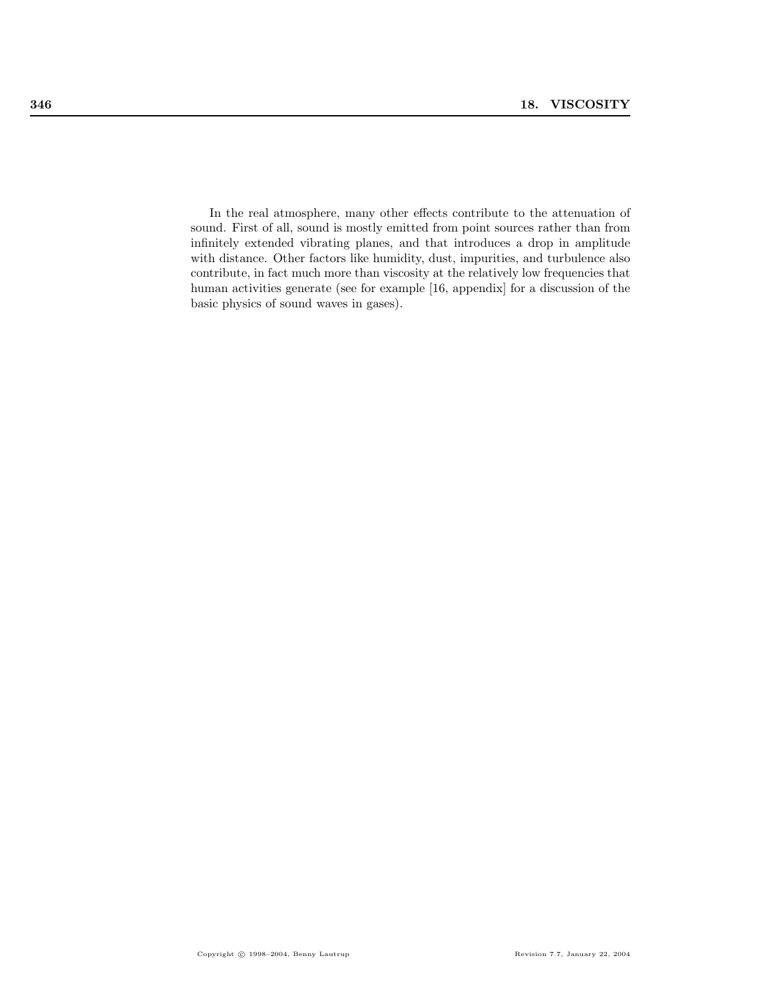In the real atmosphere, many other effects contribute to the attenuation of sound. First of all, sound is mostly emitted from point sources rather than from infinitely extended vibrating planes, and that introduces a drop in amplitude with distance. Other factors like humidity, dust, impurities, and turbulence also contribute, in fact much more than viscosity at the relatively low frequencies that human activities generate (see for example [16, appendix] for a discussion of the basic physics of sound waves in gases).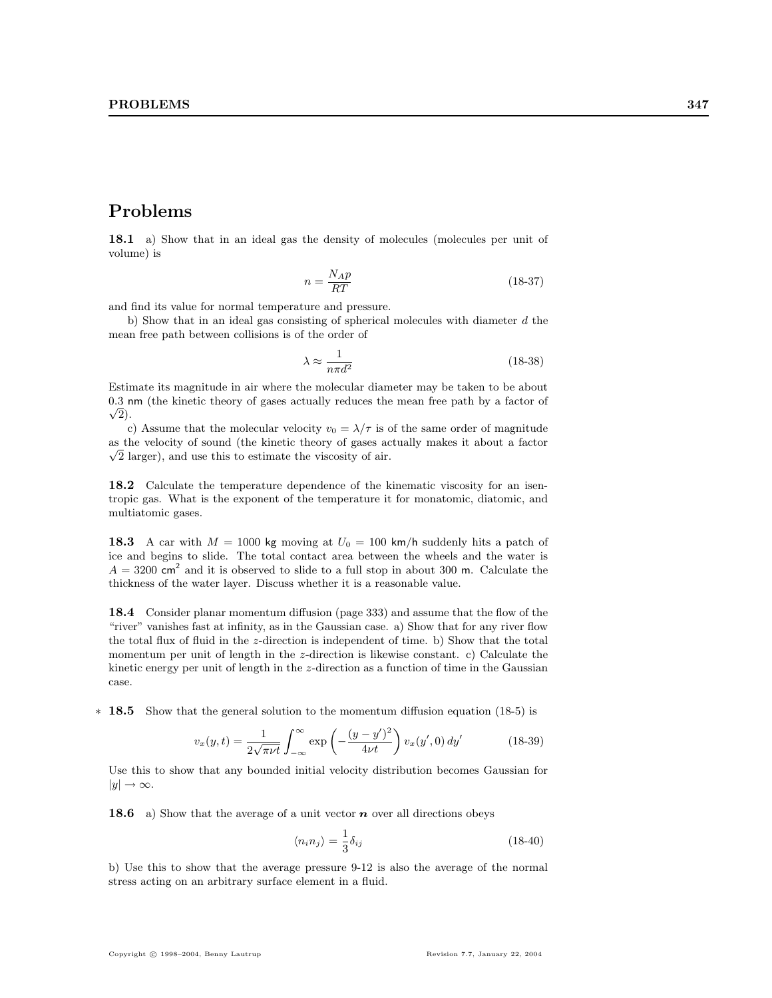# Problems

18.1 a) Show that in an ideal gas the density of molecules (molecules per unit of volume) is

$$
n = \frac{N_A p}{RT} \tag{18-37}
$$

and find its value for normal temperature and pressure.

b) Show that in an ideal gas consisting of spherical molecules with diameter d the mean free path between collisions is of the order of

$$
\lambda \approx \frac{1}{n\pi d^2} \tag{18-38}
$$

Estimate its magnitude in air where the molecular diameter may be taken to be about 0.3 nm (the kinetic theory of gases actually reduces the mean free path by a factor of  $\sqrt{2}$ ).

c) Assume that the molecular velocity  $v_0 = \lambda/\tau$  is of the same order of magnitude as the velocity of sound (the kinetic theory of gases actually makes it about a factor  $\sqrt{2}$  larger), and use this to estimate the viscosity of air.

18.2 Calculate the temperature dependence of the kinematic viscosity for an isentropic gas. What is the exponent of the temperature it for monatomic, diatomic, and multiatomic gases.

18.3 A car with  $M = 1000$  kg moving at  $U_0 = 100$  km/h suddenly hits a patch of ice and begins to slide. The total contact area between the wheels and the water is  $A = 3200$  cm<sup>2</sup> and it is observed to slide to a full stop in about 300 m. Calculate the thickness of the water layer. Discuss whether it is a reasonable value.

18.4 Consider planar momentum diffusion (page 333) and assume that the flow of the "river" vanishes fast at infinity, as in the Gaussian case. a) Show that for any river flow the total flux of fluid in the z-direction is independent of time. b) Show that the total momentum per unit of length in the  $z$ -direction is likewise constant. c) Calculate the kinetic energy per unit of length in the  $z$ -direction as a function of time in the Gaussian case.

∗ 18.5 Show that the general solution to the momentum diffusion equation (18-5) is

$$
v_x(y,t) = \frac{1}{2\sqrt{\pi\nu t}} \int_{-\infty}^{\infty} \exp\left(-\frac{(y-y')^2}{4\nu t}\right) v_x(y',0) \, dy' \tag{18-39}
$$

Use this to show that any bounded initial velocity distribution becomes Gaussian for  $|y| \rightarrow \infty$ .

**18.6** a) Show that the average of a unit vector  $n$  over all directions obeys

$$
\langle n_i n_j \rangle = \frac{1}{3} \delta_{ij} \tag{18-40}
$$

b) Use this to show that the average pressure 9-12 is also the average of the normal stress acting on an arbitrary surface element in a fluid.